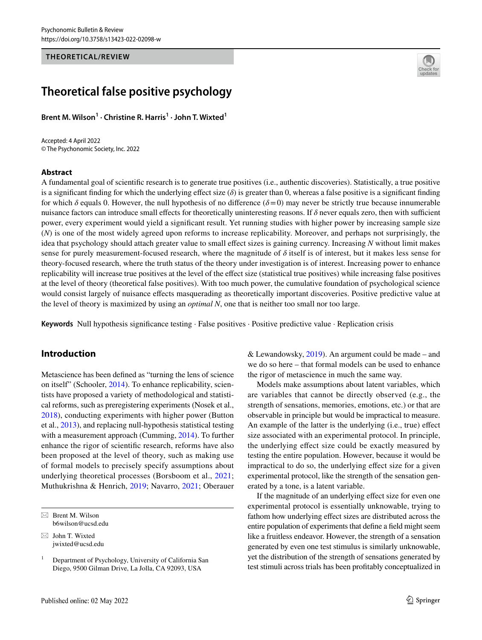### **THEORETICAL/REVIEW**



# **Theoretical false positive psychology**

**Brent M. Wilson<sup>1</sup> · Christine R. Harris<sup>1</sup> · John T. Wixted<sup>1</sup>**

Accepted: 4 April 2022 © The Psychonomic Society, Inc. 2022

### **Abstract**

A fundamental goal of scientific research is to generate true positives (i.e., authentic discoveries). Statistically, a true positive is a significant finding for which the underlying effect size  $(\delta)$  is greater than 0, whereas a false positive is a significant finding for which  $\delta$  equals 0. However, the null hypothesis of no difference ( $\delta = 0$ ) may never be strictly true because innumerable nuisance factors can introduce small effects for theoretically uninteresting reasons. If *δ* never equals zero, then with sufficient power, every experiment would yield a significant result. Yet running studies with higher power by increasing sample size (*N*) is one of the most widely agreed upon reforms to increase replicability. Moreover, and perhaps not surprisingly, the idea that psychology should attach greater value to small effect sizes is gaining currency. Increasing *N* without limit makes sense for purely measurement-focused research, where the magnitude of  $\delta$  itself is of interest, but it makes less sense for theory-focused research, where the truth status of the theory under investigation is of interest. Increasing power to enhance replicability will increase true positives at the level of the effect size (statistical true positives) while increasing false positives at the level of theory (theoretical false positives). With too much power, the cumulative foundation of psychological science would consist largely of nuisance effects masquerading as theoretically important discoveries. Positive predictive value at the level of theory is maximized by using an *optimal N*, one that is neither too small nor too large.

**Keywords** Null hypothesis significance testing · False positives · Positive predictive value · Replication crisis

## **Introduction**

Metascience has been defined as "turning the lens of science on itself" (Schooler, [2014\)](#page-24-0). To enhance replicability, scientists have proposed a variety of methodological and statistical reforms, such as preregistering experiments (Nosek et al., [2018](#page-24-1)), conducting experiments with higher power (Button et al., [2013\)](#page-23-0), and replacing null-hypothesis statistical testing with a measurement approach (Cumming, [2014](#page-23-1)). To further enhance the rigor of scientific research, reforms have also been proposed at the level of theory, such as making use of formal models to precisely specify assumptions about underlying theoretical processes (Borsboom et al., [2021](#page-23-2); Muthukrishna & Henrich, [2019;](#page-24-2) Navarro, [2021;](#page-24-3) Oberauer

 $\boxtimes$  Brent M. Wilson b6wilson@ucsd.edu

 $\boxtimes$  John T. Wixted jwixted@ucsd.edu

1 Department of Psychology, University of California San Diego, 9500 Gilman Drive, La Jolla, CA 92093, USA

& Lewandowsky, [2019\)](#page-24-4). An argument could be made – and we do so here – that formal models can be used to enhance the rigor of metascience in much the same way.

Models make assumptions about latent variables, which are variables that cannot be directly observed (e.g., the strength of sensations, memories, emotions, etc.) or that are observable in principle but would be impractical to measure. An example of the latter is the underlying (i.e., true) effect size associated with an experimental protocol. In principle, the underlying effect size could be exactly measured by testing the entire population. However, because it would be impractical to do so, the underlying effect size for a given experimental protocol, like the strength of the sensation generated by a tone, is a latent variable.

If the magnitude of an underlying effect size for even one experimental protocol is essentially unknowable, trying to fathom how underlying effect sizes are distributed across the entire population of experiments that define a field might seem like a fruitless endeavor. However, the strength of a sensation generated by even one test stimulus is similarly unknowable, yet the distribution of the strength of sensations generated by test stimuli across trials has been profitably conceptualized in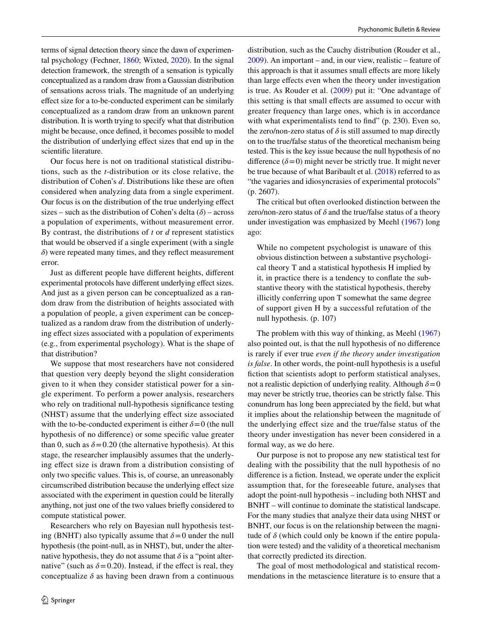terms of signal detection theory since the dawn of experimental psychology (Fechner, [1860;](#page-23-3) Wixted, [2020](#page-24-5)). In the signal detection framework, the strength of a sensation is typically conceptualized as a random draw from a Gaussian distribution of sensations across trials. The magnitude of an underlying effect size for a to-be-conducted experiment can be similarly conceptualized as a random draw from an unknown parent distribution. It is worth trying to specify what that distribution might be because, once defined, it becomes possible to model the distribution of underlying effect sizes that end up in the scientific literature.

Our focus here is not on traditional statistical distributions, such as the *t*-distribution or its close relative, the distribution of Cohen's *d*. Distributions like these are often considered when analyzing data from a single experiment. Our focus is on the distribution of the true underlying effect sizes – such as the distribution of Cohen's delta  $(\delta)$  – across a population of experiments, without measurement error. By contrast, the distributions of *t* or *d* represent statistics that would be observed if a single experiment (with a single *δ*) were repeated many times, and they reflect measurement error.

Just as different people have different heights, different experimental protocols have different underlying effect sizes. And just as a given person can be conceptualized as a random draw from the distribution of heights associated with a population of people, a given experiment can be conceptualized as a random draw from the distribution of underlying effect sizes associated with a population of experiments (e.g., from experimental psychology). What is the shape of that distribution?

We suppose that most researchers have not considered that question very deeply beyond the slight consideration given to it when they consider statistical power for a single experiment. To perform a power analysis, researchers who rely on traditional null-hypothesis significance testing (NHST) assume that the underlying effect size associated with the to-be-conducted experiment is either  $\delta = 0$  (the null hypothesis of no difference) or some specific value greater than 0, such as  $\delta = 0.20$  (the alternative hypothesis). At this stage, the researcher implausibly assumes that the underlying effect size is drawn from a distribution consisting of only two specific values. This is, of course, an unreasonably circumscribed distribution because the underlying effect size associated with the experiment in question could be literally anything, not just one of the two values briefly considered to compute statistical power.

Researchers who rely on Bayesian null hypothesis testing (BNHT) also typically assume that  $\delta = 0$  under the null hypothesis (the point-null, as in NHST), but, under the alternative hypothesis, they do not assume that  $\delta$  is a "point alternative" (such as  $\delta = 0.20$ ). Instead, if the effect is real, they conceptualize  $\delta$  as having been drawn from a continuous distribution, such as the Cauchy distribution (Rouder et al., [2009](#page-24-6)). An important – and, in our view, realistic – feature of this approach is that it assumes small effects are more likely than large effects even when the theory under investigation is true. As Rouder et al. ([2009\)](#page-24-6) put it: "One advantage of this setting is that small effects are assumed to occur with greater frequency than large ones, which is in accordance with what experimentalists tend to find" (p. 230). Even so, the zero/non-zero status of  $\delta$  is still assumed to map directly on to the true/false status of the theoretical mechanism being tested. This is the key issue because the null hypothesis of no difference  $(\delta = 0)$  might never be strictly true. It might never be true because of what Baribault et al. ([2018\)](#page-23-4) referred to as "the vagaries and idiosyncrasies of experimental protocols" (p. 2607).

The critical but often overlooked distinction between the zero/non-zero status of *δ* and the true/false status of a theory under investigation was emphasized by Meehl ([1967\)](#page-24-7) long ago:

While no competent psychologist is unaware of this obvious distinction between a substantive psychological theory T and a statistical hypothesis H implied by it, in practice there is a tendency to conflate the substantive theory with the statistical hypothesis, thereby illicitly conferring upon T somewhat the same degree of support given H by a successful refutation of the null hypothesis. (p. 107)

The problem with this way of thinking, as Meehl ([1967\)](#page-24-7) also pointed out, is that the null hypothesis of no difference is rarely if ever true *even if the theory under investigation is false*. In other words, the point-null hypothesis is a useful fiction that scientists adopt to perform statistical analyses, not a realistic depiction of underlying reality. Although  $\delta = 0$ may never be strictly true, theories can be strictly false. This conundrum has long been appreciated by the field, but what it implies about the relationship between the magnitude of the underlying effect size and the true/false status of the theory under investigation has never been considered in a formal way, as we do here.

Our purpose is not to propose any new statistical test for dealing with the possibility that the null hypothesis of no difference is a fiction. Instead, we operate under the explicit assumption that, for the foreseeable future, analyses that adopt the point-null hypothesis – including both NHST and BNHT – will continue to dominate the statistical landscape. For the many studies that analyze their data using NHST or BNHT, our focus is on the relationship between the magnitude of  $\delta$  (which could only be known if the entire population were tested) and the validity of a theoretical mechanism that correctly predicted its direction.

The goal of most methodological and statistical recommendations in the metascience literature is to ensure that a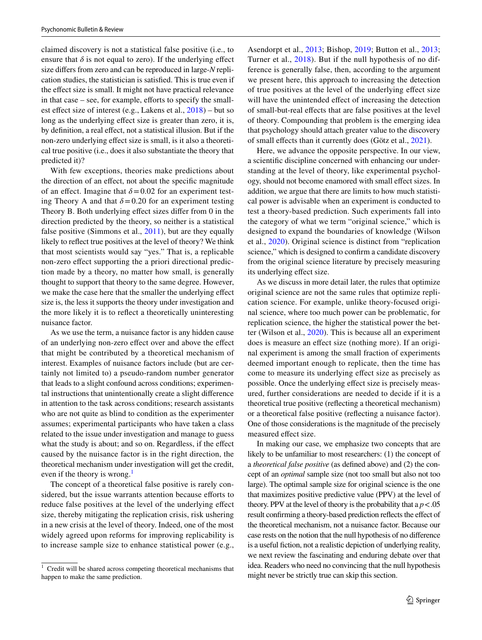claimed discovery is not a statistical false positive (i.e., to ensure that  $\delta$  is not equal to zero). If the underlying effect size differs from zero and can be reproduced in large-*N* replication studies, the statistician is satisfied. This is true even if the effect size is small. It might not have practical relevance in that case – see, for example, efforts to specify the smallest effect size of interest (e.g., Lakens et al., [2018](#page-24-8)) – but so long as the underlying effect size is greater than zero, it is, by definition, a real effect, not a statistical illusion. But if the non-zero underlying effect size is small, is it also a theoretical true positive (i.e., does it also substantiate the theory that predicted it)?

With few exceptions, theories make predictions about the direction of an effect, not about the specific magnitude of an effect. Imagine that  $\delta = 0.02$  for an experiment testing Theory A and that  $\delta = 0.20$  for an experiment testing Theory B. Both underlying effect sizes differ from 0 in the direction predicted by the theory, so neither is a statistical false positive (Simmons et al., [2011\)](#page-24-9), but are they equally likely to reflect true positives at the level of theory? We think that most scientists would say "yes." That is, a replicable non-zero effect supporting the a priori directional prediction made by a theory, no matter how small, is generally thought to support that theory to the same degree. However, we make the case here that the smaller the underlying effect size is, the less it supports the theory under investigation and the more likely it is to reflect a theoretically uninteresting nuisance factor.

As we use the term, a nuisance factor is any hidden cause of an underlying non-zero effect over and above the effect that might be contributed by a theoretical mechanism of interest. Examples of nuisance factors include (but are certainly not limited to) a pseudo-random number generator that leads to a slight confound across conditions; experimental instructions that unintentionally create a slight difference in attention to the task across conditions; research assistants who are not quite as blind to condition as the experimenter assumes; experimental participants who have taken a class related to the issue under investigation and manage to guess what the study is about; and so on. Regardless, if the effect caused by the nuisance factor is in the right direction, the theoretical mechanism under investigation will get the credit, even if the theory is wrong. $<sup>1</sup>$  $<sup>1</sup>$  $<sup>1</sup>$ </sup>

The concept of a theoretical false positive is rarely considered, but the issue warrants attention because efforts to reduce false positives at the level of the underlying effect size, thereby mitigating the replication crisis, risk ushering in a new crisis at the level of theory. Indeed, one of the most widely agreed upon reforms for improving replicability is to increase sample size to enhance statistical power (e.g.,

Asendorpt et al., [2013](#page-23-5); Bishop, [2019;](#page-23-6) Button et al., [2013](#page-23-0); Turner et al., [2018\)](#page-24-10). But if the null hypothesis of no difference is generally false, then, according to the argument we present here, this approach to increasing the detection of true positives at the level of the underlying effect size will have the unintended effect of increasing the detection of small-but-real effects that are false positives at the level of theory. Compounding that problem is the emerging idea that psychology should attach greater value to the discovery of small effects than it currently does (Götz et al., [2021](#page-23-7)).

Here, we advance the opposite perspective. In our view, a scientific discipline concerned with enhancing our understanding at the level of theory, like experimental psychology, should not become enamored with small effect sizes. In addition, we argue that there are limits to how much statistical power is advisable when an experiment is conducted to test a theory-based prediction. Such experiments fall into the category of what we term "original science," which is designed to expand the boundaries of knowledge (Wilson et al., [2020](#page-24-11)). Original science is distinct from "replication science," which is designed to confirm a candidate discovery from the original science literature by precisely measuring its underlying effect size.

As we discuss in more detail later, the rules that optimize original science are not the same rules that optimize replication science. For example, unlike theory-focused original science, where too much power can be problematic, for replication science, the higher the statistical power the better (Wilson et al., [2020](#page-24-11)). This is because all an experiment does is measure an effect size (nothing more). If an original experiment is among the small fraction of experiments deemed important enough to replicate, then the time has come to measure its underlying effect size as precisely as possible. Once the underlying effect size is precisely measured, further considerations are needed to decide if it is a theoretical true positive (reflecting a theoretical mechanism) or a theoretical false positive (reflecting a nuisance factor). One of those considerations is the magnitude of the precisely measured effect size.

In making our case, we emphasize two concepts that are likely to be unfamiliar to most researchers: (1) the concept of a *theoretical false positive* (as defined above) and (2) the concept of an *optimal* sample size (not too small but also not too large). The optimal sample size for original science is the one that maximizes positive predictive value (PPV) at the level of theory. PPV at the level of theory is the probability that  $a p < 0.05$ result confirming a theory-based prediction reflects the effect of the theoretical mechanism, not a nuisance factor. Because our case rests on the notion that the null hypothesis of no difference is a useful fiction, not a realistic depiction of underlying reality, we next review the fascinating and enduring debate over that idea. Readers who need no convincing that the null hypothesis might never be strictly true can skip this section.

<span id="page-2-0"></span><sup>&</sup>lt;sup>1</sup> Credit will be shared across competing theoretical mechanisms that happen to make the same prediction.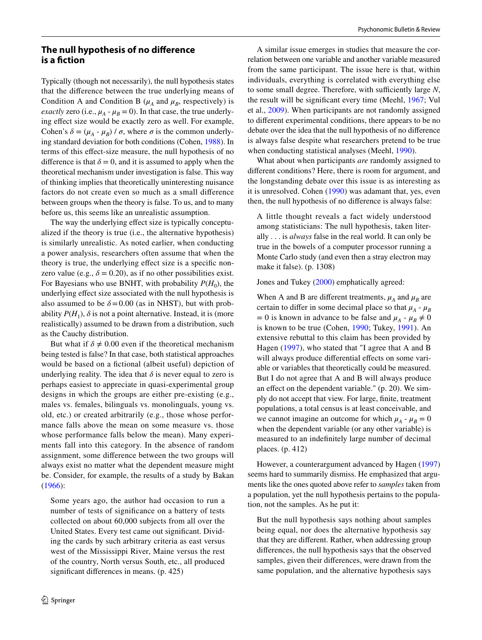# **The null hypothesis of no difference is a fiction**

Typically (though not necessarily), the null hypothesis states that the difference between the true underlying means of Condition A and Condition B ( $\mu_A$  and  $\mu_B$ , respectively) is *exactly* zero (i.e.,  $\mu_A - \mu_B = 0$ ). In that case, the true underlying effect size would be exactly zero as well. For example, Cohen's  $\delta = (\mu_A - \mu_B) / \sigma$ , where  $\sigma$  is the common underlying standard deviation for both conditions (Cohen, [1988\)](#page-23-8). In terms of this effect-size measure, the null hypothesis of no difference is that  $\delta = 0$ , and it is assumed to apply when the theoretical mechanism under investigation is false. This way of thinking implies that theoretically uninteresting nuisance factors do not create even so much as a small difference between groups when the theory is false. To us, and to many before us, this seems like an unrealistic assumption.

The way the underlying effect size is typically conceptualized if the theory is true (i.e., the alternative hypothesis) is similarly unrealistic. As noted earlier, when conducting a power analysis, researchers often assume that when the theory is true, the underlying effect size is a specific nonzero value (e.g.,  $\delta = 0.20$ ), as if no other possibilities exist. For Bayesians who use BNHT, with probability  $P(H_0)$ , the underlying effect size associated with the null hypothesis is also assumed to be  $\delta = 0.00$  (as in NHST), but with probability  $P(H_1)$ ,  $\delta$  is not a point alternative. Instead, it is (more realistically) assumed to be drawn from a distribution, such as the Cauchy distribution.

But what if  $\delta \neq 0.00$  even if the theoretical mechanism being tested is false? In that case, both statistical approaches would be based on a fictional (albeit useful) depiction of underlying reality. The idea that  $\delta$  is never equal to zero is perhaps easiest to appreciate in quasi-experimental group designs in which the groups are either pre-existing (e.g., males vs. females, bilinguals vs. monolinguals, young vs. old, etc.) or created arbitrarily (e.g., those whose performance falls above the mean on some measure vs. those whose performance falls below the mean). Many experiments fall into this category. In the absence of random assignment, some difference between the two groups will always exist no matter what the dependent measure might be. Consider, for example, the results of a study by Bakan [\(1966\)](#page-23-9):

Some years ago, the author had occasion to run a number of tests of significance on a battery of tests collected on about 60,000 subjects from all over the United States. Every test came out significant. Dividing the cards by such arbitrary criteria as east versus west of the Mississippi River, Maine versus the rest of the country, North versus South, etc., all produced significant differences in means. (p. 425)

A similar issue emerges in studies that measure the correlation between one variable and another variable measured from the same participant. The issue here is that, within individuals, everything is correlated with everything else to some small degree. Therefore, with sufficiently large *N*, the result will be significant every time (Meehl, [1967;](#page-24-7) Vul et al., [2009\)](#page-24-12). When participants are not randomly assigned to different experimental conditions, there appears to be no debate over the idea that the null hypothesis of no difference is always false despite what researchers pretend to be true when conducting statistical analyses (Meehl, [1990](#page-24-13)).

What about when participants *are* randomly assigned to different conditions? Here, there is room for argument, and the longstanding debate over this issue is as interesting as it is unresolved. Cohen [\(1990\)](#page-23-10) was adamant that, yes, even then, the null hypothesis of no difference is always false:

A little thought reveals a fact widely understood among statisticians: The null hypothesis, taken literally . . . is *always* false in the real world. It can only be true in the bowels of a computer processor running a Monte Carlo study (and even then a stray electron may make it false). (p. 1308)

Jones and Tukey [\(2000](#page-24-14)) emphatically agreed:

When A and B are different treatments,  $\mu_A$  and  $\mu_B$  are certain to differ in some decimal place so that  $\mu_A$  -  $\mu_B$  $= 0$  is known in advance to be false and  $\mu_A - \mu_B \neq 0$ is known to be true (Cohen, [1990](#page-23-10); Tukey, [1991\)](#page-24-15). An extensive rebuttal to this claim has been provided by Hagen [\(1997\)](#page-24-16), who stated that "I agree that A and B will always produce differential effects on some variable or variables that theoretically could be measured. But I do not agree that A and B will always produce an effect on the dependent variable." (p. 20). We simply do not accept that view. For large, finite, treatment populations, a total census is at least conceivable, and we cannot imagine an outcome for which  $\mu_A - \mu_B = 0$ when the dependent variable (or any other variable) is measured to an indefinitely large number of decimal places. (p. 412)

However, a counterargument advanced by Hagen ([1997\)](#page-24-16) seems hard to summarily dismiss. He emphasized that arguments like the ones quoted above refer to *samples* taken from a population, yet the null hypothesis pertains to the population, not the samples. As he put it:

But the null hypothesis says nothing about samples being equal, nor does the alternative hypothesis say that they are different. Rather, when addressing group differences, the null hypothesis says that the observed samples, given their differences, were drawn from the same population, and the alternative hypothesis says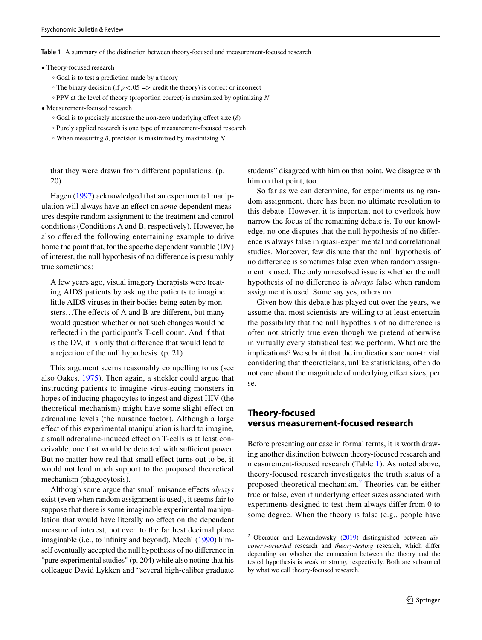#### <span id="page-4-0"></span>**Table 1** A summary of the distinction between theory-focused and measurement-focused research

#### • Theory-focused research

- Goal is to test a prediction made by a theory
- $\circ$  The binary decision (if  $p < .05$  => credit the theory) is correct or incorrect
- PPV at the level of theory (proportion correct) is maximized by optimizing *N*
- Measurement-focused research
	- Goal is to precisely measure the non-zero underlying effect size (*δ*)
	- Purely applied research is one type of measurement-focused research
	- When measuring *δ*, precision is maximized by maximizing *N*

that they were drawn from different populations. (p. 20)

Hagen ([1997\)](#page-24-16) acknowledged that an experimental manipulation will always have an effect on *some* dependent measures despite random assignment to the treatment and control conditions (Conditions A and B, respectively). However, he also offered the following entertaining example to drive home the point that, for the specific dependent variable (DV) of interest, the null hypothesis of no difference is presumably true sometimes:

A few years ago, visual imagery therapists were treating AIDS patients by asking the patients to imagine little AIDS viruses in their bodies being eaten by monsters…The effects of A and B are different, but many would question whether or not such changes would be reflected in the participant's T-cell count. And if that is the DV, it is only that difference that would lead to a rejection of the null hypothesis. (p. 21)

This argument seems reasonably compelling to us (see also Oakes, [1975\)](#page-24-17). Then again, a stickler could argue that instructing patients to imagine virus-eating monsters in hopes of inducing phagocytes to ingest and digest HIV (the theoretical mechanism) might have some slight effect on adrenaline levels (the nuisance factor). Although a large effect of this experimental manipulation is hard to imagine, a small adrenaline-induced effect on T-cells is at least conceivable, one that would be detected with sufficient power. But no matter how real that small effect turns out to be, it would not lend much support to the proposed theoretical mechanism (phagocytosis).

Although some argue that small nuisance effects *always* exist (even when random assignment is used), it seems fair to suppose that there is some imaginable experimental manipulation that would have literally no effect on the dependent measure of interest, not even to the farthest decimal place imaginable (i.e., to infinity and beyond). Meehl ([1990](#page-24-13)) himself eventually accepted the null hypothesis of no difference in "pure experimental studies" (p. 204) while also noting that his colleague David Lykken and "several high-caliber graduate

students" disagreed with him on that point. We disagree with him on that point, too.

So far as we can determine, for experiments using random assignment, there has been no ultimate resolution to this debate. However, it is important not to overlook how narrow the focus of the remaining debate is. To our knowledge, no one disputes that the null hypothesis of no difference is always false in quasi-experimental and correlational studies. Moreover, few dispute that the null hypothesis of no difference is sometimes false even when random assignment is used. The only unresolved issue is whether the null hypothesis of no difference is *always* false when random assignment is used. Some say yes, others no.

Given how this debate has played out over the years, we assume that most scientists are willing to at least entertain the possibility that the null hypothesis of no difference is often not strictly true even though we pretend otherwise in virtually every statistical test we perform. What are the implications? We submit that the implications are non-trivial considering that theoreticians, unlike statisticians, often do not care about the magnitude of underlying effect sizes, per se.

### **Theory‑focused versus measurement‑focused research**

Before presenting our case in formal terms, it is worth drawing another distinction between theory-focused research and measurement-focused research (Table [1](#page-4-0)). As noted above, theory-focused research investigates the truth status of a proposed theoretical mechanism.[2](#page-4-1) Theories can be either true or false, even if underlying effect sizes associated with experiments designed to test them always differ from 0 to some degree. When the theory is false (e.g., people have

<span id="page-4-1"></span><sup>2</sup> Oberauer and Lewandowsky ([2019\)](#page-24-4) distinguished between *discovery-oriented* research and *theory-testing* research, which differ depending on whether the connection between the theory and the tested hypothesis is weak or strong, respectively. Both are subsumed by what we call theory-focused research.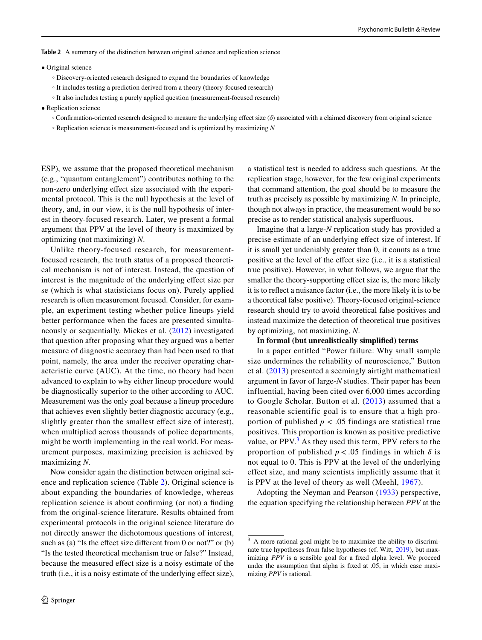<span id="page-5-0"></span>**Table 2** A summary of the distinction between original science and replication science

- Original science
	- Discovery-oriented research designed to expand the boundaries of knowledge
	- It includes testing a prediction derived from a theory (theory-focused research)
	- It also includes testing a purely applied question (measurement-focused research)
- Replication science
	- Confirmation-oriented research designed to measure the underlying effect size (*δ*) associated with a claimed discovery from original science
	- Replication science is measurement-focused and is optimized by maximizing *N*

ESP), we assume that the proposed theoretical mechanism (e.g., "quantum entanglement") contributes nothing to the non-zero underlying effect size associated with the experimental protocol. This is the null hypothesis at the level of theory, and, in our view, it is the null hypothesis of interest in theory-focused research. Later, we present a formal argument that PPV at the level of theory is maximized by optimizing (not maximizing) *N*.

Unlike theory-focused research, for measurementfocused research, the truth status of a proposed theoretical mechanism is not of interest. Instead, the question of interest is the magnitude of the underlying effect size per se (which is what statisticians focus on). Purely applied research is often measurement focused. Consider, for example, an experiment testing whether police lineups yield better performance when the faces are presented simultaneously or sequentially. Mickes et al. ([2012](#page-24-18)) investigated that question after proposing what they argued was a better measure of diagnostic accuracy than had been used to that point, namely, the area under the receiver operating characteristic curve (AUC). At the time, no theory had been advanced to explain to why either lineup procedure would be diagnostically superior to the other according to AUC. Measurement was the only goal because a lineup procedure that achieves even slightly better diagnostic accuracy (e.g., slightly greater than the smallest effect size of interest), when multiplied across thousands of police departments, might be worth implementing in the real world. For measurement purposes, maximizing precision is achieved by maximizing *N*.

Now consider again the distinction between original science and replication science (Table [2\)](#page-5-0). Original science is about expanding the boundaries of knowledge, whereas replication science is about confirming (or not) a finding from the original-science literature. Results obtained from experimental protocols in the original science literature do not directly answer the dichotomous questions of interest, such as (a) "Is the effect size different from 0 or not?" or (b) "Is the tested theoretical mechanism true or false?" Instead, because the measured effect size is a noisy estimate of the truth (i.e., it is a noisy estimate of the underlying effect size), a statistical test is needed to address such questions. At the replication stage, however, for the few original experiments that command attention, the goal should be to measure the truth as precisely as possible by maximizing *N*. In principle, though not always in practice, the measurement would be so precise as to render statistical analysis superfluous.

Imagine that a large-*N* replication study has provided a precise estimate of an underlying effect size of interest. If it is small yet undeniably greater than 0, it counts as a true positive at the level of the effect size (i.e., it is a statistical true positive). However, in what follows, we argue that the smaller the theory-supporting effect size is, the more likely it is to reflect a nuisance factor (i.e., the more likely it is to be a theoretical false positive). Theory-focused original-science research should try to avoid theoretical false positives and instead maximize the detection of theoretical true positives by optimizing, not maximizing, *N*.

#### **In formal (but unrealistically simplified) terms**

In a paper entitled "Power failure: Why small sample size undermines the reliability of neuroscience," Button et al. ([2013](#page-23-0)) presented a seemingly airtight mathematical argument in favor of large-*N* studies. Their paper has been influential, having been cited over 6,000 times according to Google Scholar. Button et al. ([2013](#page-23-0)) assumed that a reasonable scientific goal is to ensure that a high proportion of published  $p < .05$  findings are statistical true positives. This proportion is known as positive predictive value, or  $PPV<sup>3</sup>$  $PPV<sup>3</sup>$  $PPV<sup>3</sup>$ . As they used this term,  $PPV$  refers to the proportion of published  $p < .05$  findings in which  $\delta$  is not equal to 0. This is PPV at the level of the underlying effect size, and many scientists implicitly assume that it is PPV at the level of theory as well (Meehl, [1967\)](#page-24-7).

Adopting the Neyman and Pearson [\(1933\)](#page-24-19) perspective, the equation specifying the relationship between *PPV* at the

<span id="page-5-1"></span><sup>&</sup>lt;sup>3</sup> A more rational goal might be to maximize the ability to discriminate true hypotheses from false hypotheses (cf. Witt, [2019](#page-24-20)), but maximizing *PPV* is a sensible goal for a fixed alpha level. We proceed under the assumption that alpha is fixed at .05, in which case maximizing *PPV* is rational.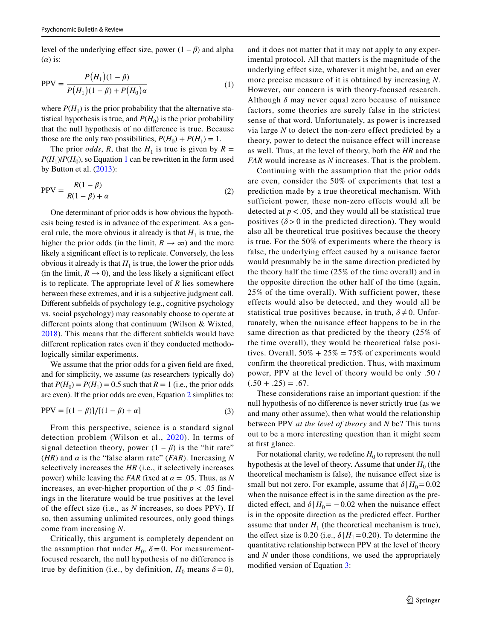level of the underlying effect size, power  $(1 - \beta)$  and alpha  $(\alpha)$  is:

$$
PPV = \frac{P(H_1)(1 - \beta)}{P(H_1)(1 - \beta) + P(H_0)\alpha}
$$
 (1)

where  $P(H_1)$  is the prior probability that the alternative statistical hypothesis is true, and  $P(H_0)$  is the prior probability that the null hypothesis of no difference is true. Because those are the only two possibilities,  $P(H_0) + P(H_1) = 1$ .

The prior *odds*, *R*, that the  $H_1$  is true is given by  $R =$  $P(H_1)/P(H_0)$ , so Equation [1](#page-6-0) can be rewritten in the form used by Button et al.  $(2013)$  $(2013)$ :

$$
PPV = \frac{R(1 - \beta)}{R(1 - \beta) + \alpha} \tag{2}
$$

One determinant of prior odds is how obvious the hypothesis being tested is in advance of the experiment. As a general rule, the more obvious it already is that  $H_1$  is true, the higher the prior odds (in the limit,  $R \rightarrow \infty$ ) and the more likely a significant effect is to replicate. Conversely, the less obvious it already is that  $H_1$  is true, the lower the prior odds (in the limit,  $R \rightarrow 0$ ), and the less likely a significant effect is to replicate. The appropriate level of *R* lies somewhere between these extremes, and it is a subjective judgment call. Different subfields of psychology (e.g., cognitive psychology vs. social psychology) may reasonably choose to operate at different points along that continuum (Wilson & Wixted, [2018\)](#page-24-21). This means that the different subfields would have different replication rates even if they conducted methodologically similar experiments.

We assume that the prior odds for a given field are fixed, and for simplicity, we assume (as researchers typically do) that  $P(H_0) = P(H_1) = 0.5$  such that  $R = 1$  (i.e., the prior odds are even). If the prior odds are even, Equation [2](#page-6-1) simplifies to:

$$
PPV = [(1 - \beta)]/[(1 - \beta) + \alpha]
$$
 (3)

From this perspective, science is a standard signal detection problem (Wilson et al., [2020\)](#page-24-11). In terms of signal detection theory, power  $(1 - \beta)$  is the "hit rate" (*HR*) and  $\alpha$  is the "false alarm rate" (*FAR*). Increasing *N* selectively increases the *HR* (i.e., it selectively increases power) while leaving the *FAR* fixed at  $\alpha = .05$ . Thus, as *N* increases, an ever-higher proportion of the  $p < .05$  findings in the literature would be true positives at the level of the effect size (i.e., as *N* increases, so does PPV). If so, then assuming unlimited resources, only good things come from increasing *N*.

Critically, this argument is completely dependent on the assumption that under  $H_0$ ,  $\delta = 0$ . For measurementfocused research, the null hypothesis of no difference is true by definition (i.e., by definition,  $H_0$  means  $\delta = 0$ ), <span id="page-6-0"></span>and it does not matter that it may not apply to any experimental protocol. All that matters is the magnitude of the underlying effect size, whatever it might be, and an ever more precise measure of it is obtained by increasing *N*. However, our concern is with theory-focused research. Although *δ* may never equal zero because of nuisance factors, some theories are surely false in the strictest sense of that word. Unfortunately, as power is increased via large *N* to detect the non-zero effect predicted by a theory, power to detect the nuisance effect will increase as well. Thus, at the level of theory, both the *HR* and the *FAR* would increase as *N* increases. That is the problem.

<span id="page-6-1"></span>Continuing with the assumption that the prior odds are even, consider the 50% of experiments that test a prediction made by a true theoretical mechanism. With sufficient power, these non-zero effects would all be detected at  $p < .05$ , and they would all be statistical true positives  $(\delta > 0$  in the predicted direction). They would also all be theoretical true positives because the theory is true. For the 50% of experiments where the theory is false, the underlying effect caused by a nuisance factor would presumably be in the same direction predicted by the theory half the time (25% of the time overall) and in the opposite direction the other half of the time (again, 25% of the time overall). With sufficient power, these effects would also be detected, and they would all be statistical true positives because, in truth,  $\delta \neq 0$ . Unfortunately, when the nuisance effect happens to be in the same direction as that predicted by the theory (25% of the time overall), they would be theoretical false positives. Overall,  $50\% + 25\% = 75\%$  of experiments would confirm the theoretical prediction. Thus, with maximum power, PPV at the level of theory would be only .50 /  $(.50 + .25) = .67$ .

<span id="page-6-2"></span>These considerations raise an important question: if the null hypothesis of no difference is never strictly true (as we and many other assume), then what would the relationship between PPV *at the level of theory* and *N* be? This turns out to be a more interesting question than it might seem at first glance.

For notational clarity, we redefine  $H_0$  to represent the null hypothesis at the level of theory. Assume that under  $H_0$  (the theoretical mechanism is false), the nuisance effect size is small but not zero. For example, assume that  $\delta | H_0 = 0.02$ when the nuisance effect is in the same direction as the predicted effect, and  $\delta | H_0 = -0.02$  when the nuisance effect is in the opposite direction as the predicted effect. Further assume that under  $H_1$  (the theoretical mechanism is true), the effect size is 0.20 (i.e.,  $\delta | H_1 = 0.20$ ). To determine the quantitative relationship between PPV at the level of theory and *N* under those conditions, we used the appropriately modified version of Equation [3](#page-6-2):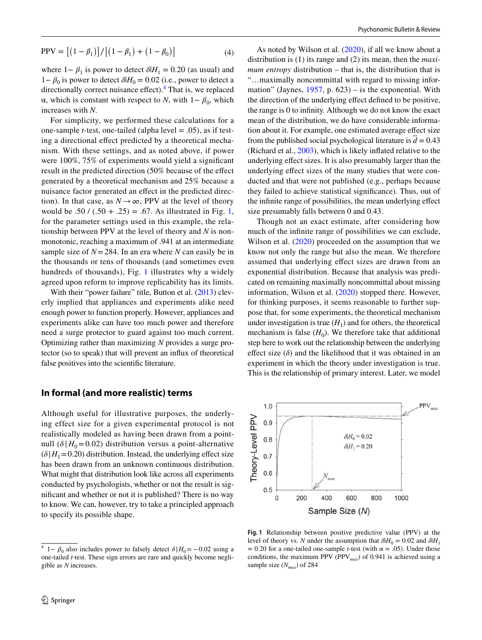$$
PPV = [(1 - \beta_1)] / [(1 - \beta_1) + (1 - \beta_0)]
$$
 (4)

where  $1 - \beta_1$  is power to detect  $\delta H_1 = 0.20$  (as usual) and 1−  $β$ <sup>0</sup> is power to detect  $δ$ |*H*<sup>0</sup> = 0.02 (i.e., power to detect a directionally correct nuisance effect).<sup>[4](#page-7-0)</sup> That is, we replaced  $\alpha$ , which is constant with respect to *N*, with  $1 - \beta_0$ , which increases with *N*.

For simplicity, we performed these calculations for a one-sample *t*-test, one-tailed (alpha level = .05), as if testing a directional effect predicted by a theoretical mechanism. With these settings, and as noted above, if power were 100%, 75% of experiments would yield a significant result in the predicted direction (50% because of the effect generated by a theoretical mechanism and 25% because a nuisance factor generated an effect in the predicted direction). In that case, as  $N \rightarrow \infty$ , PPV at the level of theory would be .50 /  $(.50 + .25) = .67$ . As illustrated in Fig. [1,](#page-7-1) for the parameter settings used in this example, the relationship between PPV at the level of theory and *N* is nonmonotonic, reaching a maximum of .941 at an intermediate sample size of  $N = 284$ . In an era where *N* can easily be in the thousands or tens of thousands (and sometimes even hundreds of thousands), Fig. [1](#page-7-1) illustrates why a widely agreed upon reform to improve replicability has its limits.

With their "power failure" title, Button et al. [\(2013\)](#page-23-0) cleverly implied that appliances and experiments alike need enough power to function properly. However, appliances and experiments alike can have too much power and therefore need a surge protector to guard against too much current. Optimizing rather than maximizing *N* provides a surge protector (so to speak) that will prevent an influx of theoretical false positives into the scientific literature.

### **In formal (and more realistic) terms**

Although useful for illustrative purposes, the underlying effect size for a given experimental protocol is not realistically modeled as having been drawn from a pointnull  $(\delta | H_0 = 0.02)$  distribution versus a point-alternative  $(\delta | H_1 = 0.20)$  distribution. Instead, the underlying effect size has been drawn from an unknown continuous distribution. What might that distribution look like across all experiments conducted by psychologists, whether or not the result is significant and whether or not it is published? There is no way to know. We can, however, try to take a principled approach to specify its possible shape.

As noted by Wilson et al.  $(2020)$  $(2020)$  $(2020)$ , if all we know about a distribution is (1) its range and (2) its mean, then the *maximum entropy* distribution – that is, the distribution that is "…maximally noncommittal with regard to missing information" (Jaynes, [1957,](#page-24-22) p. 623) – is the exponential. With the direction of the underlying effect defined to be positive, the range is 0 to infinity. Although we do not know the exact mean of the distribution, we do have considerable information about it. For example, one estimated average effect size from the published social psychological literature is  $d = 0.43$ (Richard et al., [2003\)](#page-24-23), which is likely inflated relative to the underlying effect sizes. It is also presumably larger than the underlying effect sizes of the many studies that were conducted and that were not published (e.g., perhaps because they failed to achieve statistical significance). Thus, out of the infinite range of possibilities, the mean underlying effect size presumably falls between 0 and 0.43.

Though not an exact estimate, after considering how much of the infinite range of possibilities we can exclude, Wilson et al. ([2020](#page-24-11)) proceeded on the assumption that we know not only the range but also the mean. We therefore assumed that underlying effect sizes are drawn from an exponential distribution. Because that analysis was predicated on remaining maximally noncommittal about missing information, Wilson et al. [\(2020\)](#page-24-11) stopped there. However, for thinking purposes, it seems reasonable to further suppose that, for some experiments, the theoretical mechanism under investigation is true  $(H_1)$  and for others, the theoretical mechanism is false  $(H_0)$ . We therefore take that additional step here to work out the relationship between the underlying effect size  $(\delta)$  and the likelihood that it was obtained in an experiment in which the theory under investigation is true. This is the relationship of primary interest. Later, we model



<span id="page-7-1"></span>**Fig. 1** Relationship between positive predictive value (PPV) at the level of theory vs. *N* under the assumption that  $\delta H_0 = 0.02$  and  $\delta H_1$  $= 0.20$  for a one-tailed one-sample *t*-test (with  $\alpha = .05$ ). Under those conditions, the maximum PPV (PPV*max*) of 0.941 is achieved using a sample size (*Nmax*) of 284

<span id="page-7-0"></span><sup>&</sup>lt;sup>4</sup> 1–  $\beta_0$  also includes power to falsely detect  $\delta | H_0 = -0.02$  using a one-tailed *t*-test. These sign errors are rare and quickly become negligible as *N* increases.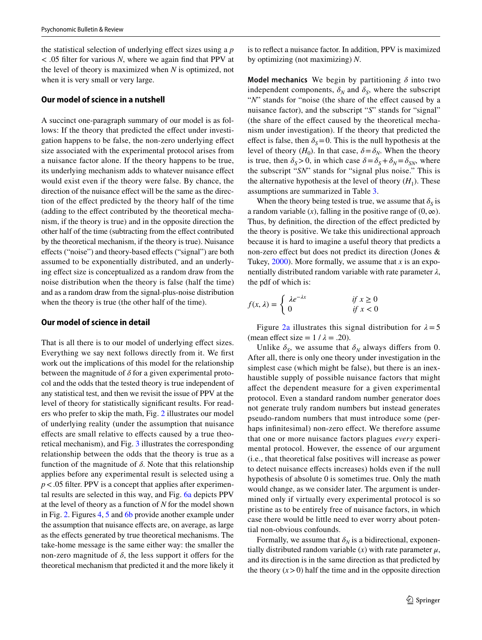the statistical selection of underlying effect sizes using a *p* < .05 filter for various *N*, where we again find that PPV at the level of theory is maximized when *N* is optimized, not when it is very small or very large.

#### **Our model of science in a nutshell**

A succinct one-paragraph summary of our model is as follows: If the theory that predicted the effect under investigation happens to be false, the non-zero underlying effect size associated with the experimental protocol arises from a nuisance factor alone. If the theory happens to be true, its underlying mechanism adds to whatever nuisance effect would exist even if the theory were false. By chance, the direction of the nuisance effect will be the same as the direction of the effect predicted by the theory half of the time (adding to the effect contributed by the theoretical mechanism, if the theory is true) and in the opposite direction the other half of the time (subtracting from the effect contributed by the theoretical mechanism, if the theory is true). Nuisance effects ("noise") and theory-based effects ("signal") are both assumed to be exponentially distributed, and an underlying effect size is conceptualized as a random draw from the noise distribution when the theory is false (half the time) and as a random draw from the signal-plus-noise distribution when the theory is true (the other half of the time).

### **Our model of science in detail**

That is all there is to our model of underlying effect sizes. Everything we say next follows directly from it. We first work out the implications of this model for the relationship between the magnitude of *δ* for a given experimental protocol and the odds that the tested theory is true independent of any statistical test, and then we revisit the issue of PPV at the level of theory for statistically significant results. For readers who prefer to skip the math, Fig. [2](#page-10-0) illustrates our model of underlying reality (under the assumption that nuisance effects are small relative to effects caused by a true theoretical mechanism), and Fig. [3](#page-11-0) illustrates the corresponding relationship between the odds that the theory is true as a function of the magnitude of *δ*. Note that this relationship applies before any experimental result is selected using a  $p < .05$  filter. PPV is a concept that applies after experimental results are selected in this way, and Fig. [6a](#page-13-0) depicts PPV at the level of theory as a function of *N* for the model shown in Fig. [2.](#page-10-0) Figures [4,](#page-12-0) [5](#page-13-1) and [6b](#page-13-0) provide another example under the assumption that nuisance effects are, on average, as large as the effects generated by true theoretical mechanisms. The take-home message is the same either way: the smaller the non-zero magnitude of *δ*, the less support it offers for the theoretical mechanism that predicted it and the more likely it is to reflect a nuisance factor. In addition, PPV is maximized by optimizing (not maximizing) *N*.

**Model mechanics** We begin by partitioning *δ* into two independent components,  $\delta_N$  and  $\delta_S$ , where the subscript "*N*" stands for "noise (the share of the effect caused by a nuisance factor), and the subscript "*S*" stands for "signal" (the share of the effect caused by the theoretical mechanism under investigation). If the theory that predicted the effect is false, then  $\delta_S = 0$ . This is the null hypothesis at the level of theory ( $H_0$ ). In that case,  $\delta = \delta_N$ . When the theory is true, then  $\delta_S > 0$ , in which case  $\delta = \delta_S + \delta_N = \delta_{SN}$ , where the subscript "*SN*" stands for "signal plus noise." This is the alternative hypothesis at the level of theory  $(H_1)$ . These assumptions are summarized in Table [3.](#page-10-1)

When the theory being tested is true, we assume that  $\delta_S$  is a random variable  $(x)$ , falling in the positive range of  $(0, \infty)$ . Thus, by definition, the direction of the effect predicted by the theory is positive. We take this unidirectional approach because it is hard to imagine a useful theory that predicts a non-zero effect but does not predict its direction (Jones & Tukey, [2000](#page-24-14)). More formally, we assume that *x* is an exponentially distributed random variable with rate parameter *λ*, the pdf of which is:

$$
f(x, \lambda) = \begin{cases} \lambda e^{-\lambda x} & \text{if } x \ge 0 \\ 0 & \text{if } x < 0 \end{cases}
$$

Figure [2a](#page-10-0) illustrates this signal distribution for  $\lambda = 5$ (mean effect size =  $1 / \lambda = .20$ ).

Unlike  $\delta_S$ , we assume that  $\delta_N$  always differs from 0. After all, there is only one theory under investigation in the simplest case (which might be false), but there is an inexhaustible supply of possible nuisance factors that might affect the dependent measure for a given experimental protocol. Even a standard random number generator does not generate truly random numbers but instead generates pseudo-random numbers that must introduce some (perhaps infinitesimal) non-zero effect. We therefore assume that one or more nuisance factors plagues *every* experimental protocol. However, the essence of our argument (i.e., that theoretical false positives will increase as power to detect nuisance effects increases) holds even if the null hypothesis of absolute 0 is sometimes true. Only the math would change, as we consider later. The argument is undermined only if virtually every experimental protocol is so pristine as to be entirely free of nuisance factors, in which case there would be little need to ever worry about potential non-obvious confounds.

Formally, we assume that  $\delta_N$  is a bidirectional, exponentially distributed random variable  $(x)$  with rate parameter  $\mu$ , and its direction is in the same direction as that predicted by the theory  $(x > 0)$  half the time and in the opposite direction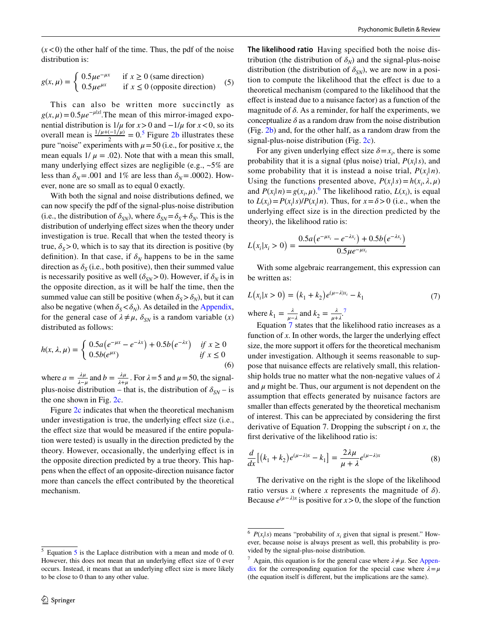$$
g(x, \mu) = \begin{cases} 0.5\mu e^{-\mu x} & \text{if } x \ge 0 \text{ (same direction)}\\ 0.5\mu e^{\mu x} & \text{if } x \le 0 \text{ (opposite direction)} \end{cases} (5)
$$

This can also be written more succinctly as  $g(x, \mu) = 0.5\mu e^{-\mu|x|}$ . The mean of this mirror-imaged exponential distribution is  $1/\mu$  for  $x > 0$  and  $-1/\mu$  for  $x < 0$ , so its overall mean is  $\frac{1/\mu + (-1/\mu)}{2} = 0.5$  $\frac{1/\mu + (-1/\mu)}{2} = 0.5$  Figure [2b](#page-10-0) illustrates these pure "noise" experiments with  $\mu$  = 50 (i.e., for positive *x*, the mean equals  $1/u = .02$ ). Note that with a mean this small, many underlying effect sizes are negligible (e.g.,  $\sim 5\%$  are less than  $\delta_N$  = .001 and 1% are less than  $\delta_N$  = .0002). However, none are so small as to equal 0 exactly.

With both the signal and noise distributions defined, we can now specify the pdf of the signal-plus-noise distribution (i.e., the distribution of  $\delta_{SN}$ ), where  $\delta_{SN} = \delta_S + \delta_N$ . This is the distribution of underlying effect sizes when the theory under investigation is true. Recall that when the tested theory is true,  $\delta_S$  > 0, which is to say that its direction is positive (by definition). In that case, if  $\delta_N$  happens to be in the same direction as  $\delta_S$  (i.e., both positive), then their summed value is necessarily positive as well  $(\delta_{SN} > 0)$ . However, if  $\delta_N$  is in the opposite direction, as it will be half the time, then the summed value can still be positive (when  $\delta_S > \delta_N$ ), but it can also be negative (when  $\delta_S < \delta_N$ ). As detailed in the [Appendix,](#page-19-0) for the general case of  $\lambda \neq \mu$ ,  $\delta_{SN}$  is a random variable (*x*) distributed as follows:

$$
h(x, \lambda, \mu) = \begin{cases} 0.5a(e^{-\mu x} - e^{-\lambda x}) + 0.5b(e^{-\lambda x}) & \text{if } x \ge 0\\ 0.5b(e^{\mu x}) & \text{if } x \le 0 \end{cases}
$$
(6)

where  $a = \frac{\lambda \mu}{\lambda}$  $\frac{\lambda \mu}{\lambda - \mu}$  and  $b = \frac{\lambda \mu}{\lambda + \mu}$  $\frac{\lambda\mu}{\lambda+\mu}$ . For  $\lambda = 5$  and  $\mu = 50$ , the signalplus-noise distribution – that is, the distribution of  $\delta_{SN}$  – is the one shown in Fig. [2c.](#page-10-0)

Figure [2c](#page-10-0) indicates that when the theoretical mechanism under investigation is true, the underlying effect size (i.e., the effect size that would be measured if the entire population were tested) is usually in the direction predicted by the theory. However, occasionally, the underlying effect is in the opposite direction predicted by a true theory. This happens when the effect of an opposite-direction nuisance factor more than cancels the effect contributed by the theoretical mechanism.

<span id="page-9-4"></span>**The likelihood ratio** Having specified both the noise distribution (the distribution of  $\delta_N$ ) and the signal-plus-noise distribution (the distribution of  $\delta_{SN}$ ), we are now in a position to compute the likelihood that the effect is due to a theoretical mechanism (compared to the likelihood that the effect is instead due to a nuisance factor) as a function of the magnitude of  $\delta$ . As a reminder, for half the experiments, we conceptualize  $\delta$  as a random draw from the noise distribution (Fig. [2b](#page-10-0)) and, for the other half, as a random draw from the signal-plus-noise distribution (Fig. [2c](#page-10-0)).

For any given underlying effect size  $\delta = x_i$ , there is some probability that it is a signal (plus noise) trial,  $P(x_i|s)$ , and some probability that it is instead a noise trial,  $P(x_i|n)$ . Using the functions presented above,  $P(x_i|s) = h(x_i, \lambda, \mu)$ and  $P(x_i|n) = g(x_i, \mu)$ .<sup>[6](#page-9-1)</sup> The likelihood ratio,  $L(x_i)$ , is equal to  $L(x_i) = P(x_i | s) / P(x_i | n)$ . Thus, for  $x = \delta > 0$  (i.e., when the underlying effect size is in the direction predicted by the theory), the likelihood ratio is:

$$
L(x_i|x_i>0) = \frac{0.5a(e^{-\mu x_i} - e^{-\lambda x_i}) + 0.5b(e^{-\lambda x_i})}{0.5\mu e^{-\mu x_i}}
$$

With some algebraic rearrangement, this expression can be written as:

<span id="page-9-3"></span>
$$
L(x_i|x>0) = (k_1 + k_2)e^{(\mu - \lambda)x_i} - k_1
$$
\n(7)

where  $k_1 = \frac{\lambda}{n}$  $\frac{\lambda}{\mu-\lambda}$  and  $k_2 = \frac{\lambda}{\mu+\lambda}$  $\frac{\lambda}{\mu+\lambda}$ <sup>[7](#page-9-2)</sup>

<span id="page-9-6"></span>Equation [7](#page-9-3) states that the likelihood ratio increases as a function of *x*. In other words, the larger the underlying effect size, the more support it offers for the theoretical mechanism under investigation. Although it seems reasonable to suppose that nuisance effects are relatively small, this relationship holds true no matter what the non-negative values of *λ* and  $\mu$  might be. Thus, our argument is not dependent on the assumption that effects generated by nuisance factors are smaller than effects generated by the theoretical mechanism of interest. This can be appreciated by considering the first derivative of Equation 7. Dropping the subscript *i* on *x*, the first derivative of the likelihood ratio is:

<span id="page-9-5"></span>
$$
\frac{d}{dx}\left[\left(k_1+k_2\right)e^{(\mu-\lambda)x}-k_1\right]=\frac{2\lambda\mu}{\mu+\lambda}e^{(\mu-\lambda)x}\tag{8}
$$

The derivative on the right is the slope of the likelihood ratio versus *x* (where *x* represents the magnitude of  $\delta$ ). Because  $e^{(\mu - \lambda)x}$  is positive for *x* > 0, the slope of the function

<span id="page-9-0"></span> $5$  Equation  $5$  is the Laplace distribution with a mean and mode of 0. However, this does not mean that an underlying effect size of 0 ever occurs. Instead, it means that an underlying effect size is more likely to be close to 0 than to any other value.

<span id="page-9-1"></span> $^6$  *P*( $x_i$ |*s*) means "probability of  $x_i$  given that signal is present." However, because noise is always present as well, this probability is provided by the signal-plus-noise distribution.

<span id="page-9-2"></span><sup>7</sup> Again, this equation is for the general case where  $\lambda \neq \mu$ . See [Appen](#page-19-0)[dix](#page-19-0) for the corresponding equation for the special case where  $\lambda = \mu$ (the equation itself is different, but the implications are the same).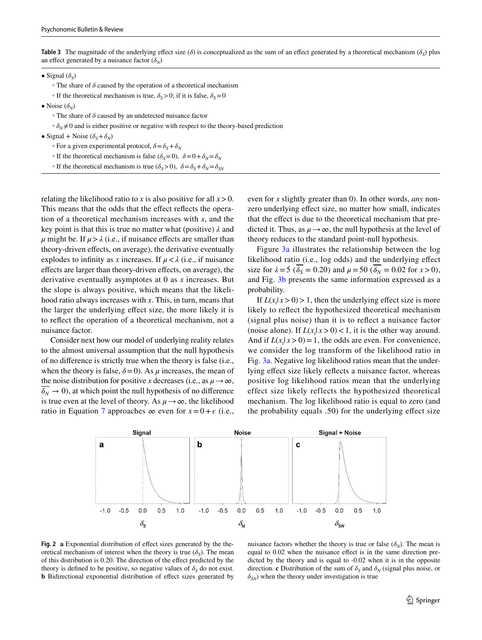<span id="page-10-1"></span>**Table 3** The magnitude of the underlying effect size ( $\delta$ ) is conceptualized as the sum of an effect generated by a theoretical mechanism ( $\delta$ <sub>S</sub>) plus an effect generated by a nuisance factor  $(\delta_N)$ 

• Signal  $(\delta_S)$ 

◦ The share of *δ* caused by the operation of a theoretical mechanism

 $\circ$  If the theoretical mechanism is true,  $\delta_S > 0$ ; if it is false,  $\delta_S = 0$ 

• Noise  $(\delta_N)$ 

- The share of *δ* caused by an undetected nuisance factor
- $\delta_N \neq 0$  and is either positive or negative with respect to the theory-based prediction
- Signal + Noise  $(\delta_S + \delta_N)$
- $\circ$  For a given experimental protocol,  $\delta = \delta_S + \delta_N$
- $\circ$  If the theoretical mechanism is false ( $\delta_S = 0$ ),  $\delta = 0 + \delta_N = \delta_N$
- $\circ$  If the theoretical mechanism is true ( $\delta_S > 0$ ),  $\delta = \delta_S + \delta_N = \delta_{SN}$

relating the likelihood ratio to *x* is also positive for all  $x > 0$ . This means that the odds that the effect reflects the operation of a theoretical mechanism increases with *x*, and the key point is that this is true no matter what (positive) *λ* and  $\mu$  might be. If  $\mu > \lambda$  (i.e., if nuisance effects are smaller than theory-driven effects, on average), the derivative eventually explodes to infinity as *x* increases. If  $\mu < \lambda$  (i.e., if nuisance effects are larger than theory-driven effects, on average), the derivative eventually asymptotes at 0 as *x* increases. But the slope is always positive, which means that the likelihood ratio always increases with *x*. This, in turn, means that the larger the underlying effect size, the more likely it is to reflect the operation of a theoretical mechanism, not a nuisance factor.

Consider next how our model of underlying reality relates to the almost universal assumption that the null hypothesis of no difference is strictly true when the theory is false (i.e., when the theory is false,  $\delta = 0$ ). As  $\mu$  increases, the mean of the noise distribution for positive *x* decreases (i.e., as  $\mu \rightarrow \infty$ ,  $\delta_N \rightarrow 0$ , at which point the null hypothesis of no difference is true even at the level of theory. As  $\mu \rightarrow \infty$ , the likelihood ratio in Equation [7](#page-9-3) approaches  $\infty$  even for  $x = 0 + \epsilon$  (i.e.,

even for *x* slightly greater than 0). In other words, *any* nonzero underlying effect size, no matter how small, indicates that the effect is due to the theoretical mechanism that predicted it. Thus, as  $\mu \rightarrow \infty$ , the null hypothesis at the level of theory reduces to the standard point-null hypothesis.

Figure [3a](#page-11-0) illustrates the relationship between the log likelihood ratio (i.e., log odds) and the underlying effect size for  $\lambda = 5$  ( $\overline{\delta_s} = 0.20$ ) and  $\mu = 50$  ( $\overline{\delta_w} = 0.02$  for  $x > 0$ ), and Fig. [3b](#page-11-0) presents the same information expressed as a probability.

If  $L(x_i|x>0) > 1$ , then the underlying effect size is more likely to reflect the hypothesized theoretical mechanism (signal plus noise) than it is to reflect a nuisance factor (noise alone). If  $L(x_i|x>0) < 1$ , it is the other way around. And if  $L(x_i|x>0) = 1$ , the odds are even. For convenience, we consider the log transform of the likelihood ratio in Fig. [3a](#page-11-0). Negative log likelihood ratios mean that the underlying effect size likely reflects a nuisance factor, whereas positive log likelihood ratios mean that the underlying effect size likely reflects the hypothesized theoretical mechanism. The log likelihood ratio is equal to zero (and the probability equals .50) for the underlying effect size



<span id="page-10-0"></span>**Fig. 2 a** Exponential distribution of effect sizes generated by the theoretical mechanism of interest when the theory is true  $(\delta_S)$ . The mean of this distribution is 0.20. The direction of the effect predicted by the theory is defined to be positive, so negative values of  $\delta_S$  do not exist. **b** Bidirectional exponential distribution of effect sizes generated by

nuisance factors whether the theory is true or false  $(\delta_N)$ . The mean is equal to 0.02 when the nuisance effect is in the same direction predicted by the theory and is equal to -0.02 when it is in the opposite direction. **c** Distribution of the sum of  $\delta_S$  and  $\delta_N$  (signal plus noise, or  $\delta$ <sub>SN</sub>) when the theory under investigation is true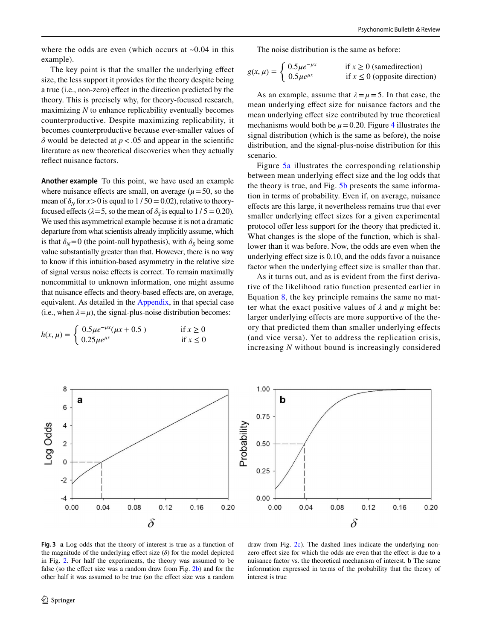where the odds are even (which occurs at  $\sim 0.04$  in this example).

The key point is that the smaller the underlying effect size, the less support it provides for the theory despite being a true (i.e., non-zero) effect in the direction predicted by the theory. This is precisely why, for theory-focused research, maximizing *N* to enhance replicability eventually becomes counterproductive. Despite maximizing replicability, it becomes counterproductive because ever-smaller values of  $δ$  would be detected at  $p < .05$  and appear in the scientific literature as new theoretical discoveries when they actually reflect nuisance factors.

**Another example** To this point, we have used an example where nuisance effects are small, on average  $(\mu = 50)$ , so the mean of  $\delta_N$  for  $x > 0$  is equal to  $1/50 = 0.02$ ), relative to theoryfocused effects ( $\lambda$  = 5, so the mean of  $\delta_S$  is equal to 1 / 5 = 0.20). We used this asymmetrical example because it is not a dramatic departure from what scientists already implicitly assume, which is that  $\delta_N = 0$  (the point-null hypothesis), with  $\delta_S$  being some value substantially greater than that. However, there is no way to know if this intuition-based asymmetry in the relative size of signal versus noise effects is correct. To remain maximally noncommittal to unknown information, one might assume that nuisance effects and theory-based effects are, on average, equivalent. As detailed in the [Appendix,](#page-19-0) in that special case (i.e., when  $\lambda = \mu$ ), the signal-plus-noise distribution becomes:

$$
h(x, \mu) = \begin{cases} 0.5\mu e^{-\mu x}(\mu x + 0.5) & \text{if } x \ge 0\\ 0.25\mu e^{\mu x} & \text{if } x \le 0 \end{cases}
$$



$$
g(x, \mu) = \begin{cases} 0.5\mu e^{-\mu x} & \text{if } x \ge 0 \text{ (sancellation)} \\ 0.5\mu e^{\mu x} & \text{if } x \le 0 \text{ (opposite direction)} \end{cases}
$$

As an example, assume that  $\lambda = \mu = 5$ . In that case, the mean underlying effect size for nuisance factors and the mean underlying effect size contributed by true theoretical mechanisms would both be  $\mu = 0.20$ . Figure [4](#page-12-0) illustrates the signal distribution (which is the same as before), the noise distribution, and the signal-plus-noise distribution for this scenario.

Figure [5a](#page-13-1) illustrates the corresponding relationship between mean underlying effect size and the log odds that the theory is true, and Fig. [5b](#page-13-1) presents the same information in terms of probability. Even if, on average, nuisance effects are this large, it nevertheless remains true that ever smaller underlying effect sizes for a given experimental protocol offer less support for the theory that predicted it. What changes is the slope of the function, which is shallower than it was before. Now, the odds are even when the underlying effect size is 0.10, and the odds favor a nuisance factor when the underlying effect size is smaller than that.

As it turns out, and as is evident from the first derivative of the likelihood ratio function presented earlier in Equation [8,](#page-9-5) the key principle remains the same no matter what the exact positive values of  $\lambda$  and  $\mu$  might be: larger underlying effects are more supportive of the theory that predicted them than smaller underlying effects (and vice versa). Yet to address the replication crisis, increasing *N* without bound is increasingly considered





<span id="page-11-0"></span>**Fig. 3 a** Log odds that the theory of interest is true as a function of the magnitude of the underlying effect size  $(\delta)$  for the model depicted in Fig. [2.](#page-10-0) For half the experiments, the theory was assumed to be false (so the effect size was a random draw from Fig. [2b](#page-10-0)) and for the other half it was assumed to be true (so the effect size was a random

draw from Fig. [2c\)](#page-10-0). The dashed lines indicate the underlying nonzero effect size for which the odds are even that the effect is due to a nuisance factor vs. the theoretical mechanism of interest. **b** The same information expressed in terms of the probability that the theory of interest is true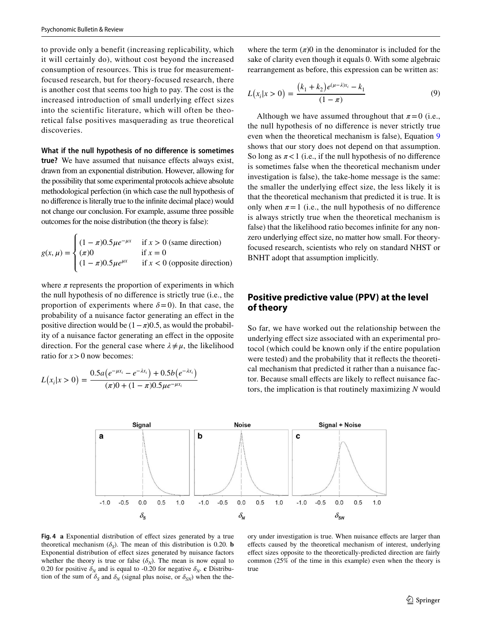to provide only a benefit (increasing replicability, which it will certainly do), without cost beyond the increased consumption of resources. This is true for measurementfocused research, but for theory-focused research, there is another cost that seems too high to pay. The cost is the increased introduction of small underlying effect sizes into the scientific literature, which will often be theoretical false positives masquerading as true theoretical discoveries.

**What if the null hypothesis of no difference is sometimes true?** We have assumed that nuisance effects always exist, drawn from an exponential distribution. However, allowing for the possibility that some experimental protocols achieve absolute methodological perfection (in which case the null hypothesis of no difference is literally true to the infinite decimal place) would not change our conclusion. For example, assume three possible outcomes for the noise distribution (the theory is false):

$$
g(x,\mu) = \begin{cases} (1-\pi)0.5\mu e^{-\mu x} & \text{if } x > 0 \text{ (same direction)}\\ (\pi)0 & \text{if } x = 0\\ (1-\pi)0.5\mu e^{\mu x} & \text{if } x < 0 \text{ (opposite direction)} \end{cases}
$$

where  $\pi$  represents the proportion of experiments in which the null hypothesis of no difference is strictly true (i.e., the proportion of experiments where  $\delta = 0$ ). In that case, the probability of a nuisance factor generating an effect in the positive direction would be  $(1 - \pi)0.5$ , as would the probability of a nuisance factor generating an effect in the opposite direction. For the general case where  $\lambda \neq \mu$ , the likelihood ratio for  $x > 0$  now becomes:

$$
L(x_i|x>0) = \frac{0.5a(e^{-\mu x_i} - e^{-\lambda x_i}) + 0.5b(e^{-\lambda x_i})}{(\pi)0 + (1 - \pi)0.5\mu e^{-\mu x_i}}
$$

where the term  $(\pi)0$  in the denominator is included for the sake of clarity even though it equals 0. With some algebraic rearrangement as before, this expression can be written as:

<span id="page-12-1"></span>
$$
L(x_i|x>0) = \frac{(k_1 + k_2)e^{(\mu - \lambda)x_i} - k_1}{(1 - \pi)}
$$
(9)

Although we have assumed throughout that  $\pi = 0$  (i.e., the null hypothesis of no difference is never strictly true even when the theoretical mechanism is false), Equation [9](#page-12-1) shows that our story does not depend on that assumption. So long as  $\pi$ <1 (i.e., if the null hypothesis of no difference is sometimes false when the theoretical mechanism under investigation is false), the take-home message is the same: the smaller the underlying effect size, the less likely it is that the theoretical mechanism that predicted it is true. It is only when  $\pi = 1$  (i.e., the null hypothesis of no difference is always strictly true when the theoretical mechanism is false) that the likelihood ratio becomes infinite for any nonzero underlying effect size, no matter how small. For theoryfocused research, scientists who rely on standard NHST or BNHT adopt that assumption implicitly.

### **Positive predictive value (PPV) at the level of theory**

So far, we have worked out the relationship between the underlying effect size associated with an experimental protocol (which could be known only if the entire population were tested) and the probability that it reflects the theoretical mechanism that predicted it rather than a nuisance factor. Because small effects are likely to reflect nuisance factors, the implication is that routinely maximizing *N* would



<span id="page-12-0"></span>**Fig. 4 a** Exponential distribution of effect sizes generated by a true theoretical mechanism  $(\delta_S)$ . The mean of this distribution is 0.20. **b** Exponential distribution of effect sizes generated by nuisance factors whether the theory is true or false  $(\delta_N)$ . The mean is now equal to 0.20 for positive  $\delta_N$  and is equal to -0.20 for negative  $\delta_N$ . **c** Distribution of the sum of  $\delta_S$  and  $\delta_N$  (signal plus noise, or  $\delta_{SN}$ ) when the the-

ory under investigation is true. When nuisance effects are larger than effects caused by the theoretical mechanism of interest, underlying effect sizes opposite to the theoretically-predicted direction are fairly common (25% of the time in this example) even when the theory is true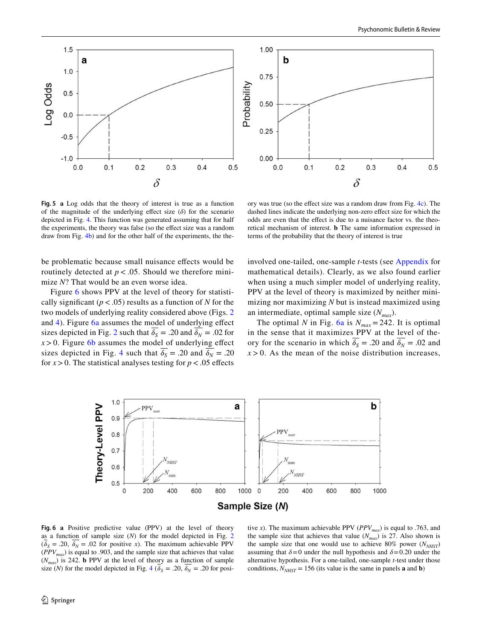

<span id="page-13-1"></span>**Fig. 5 a** Log odds that the theory of interest is true as a function of the magnitude of the underlying effect size (*δ*) for the scenario depicted in Fig. [4](#page-12-0). This function was generated assuming that for half the experiments, the theory was false (so the effect size was a random draw from Fig. [4b\)](#page-12-0) and for the other half of the experiments, the the-

ory was true (so the effect size was a random draw from Fig. [4c\)](#page-12-0). The dashed lines indicate the underlying non-zero effect size for which the odds are even that the effect is due to a nuisance factor vs. the theoretical mechanism of interest. **b** The same information expressed in terms of the probability that the theory of interest is true

be problematic because small nuisance effects would be routinely detected at  $p < .05$ . Should we therefore minimize *N*? That would be an even worse idea.

Figure [6](#page-13-0) shows PPV at the level of theory for statistically significant ( $p < .05$ ) results as a function of N for the two models of underlying reality considered above (Figs. [2](#page-10-0) and [4\)](#page-12-0). Figure [6a](#page-13-0) assumes the model of underlying effect sizes depicted in Fig. [2](#page-10-0) such that  $\delta_S = .20$  and  $\delta_N = .02$  for  $x > 0$ . Figure [6b](#page-13-0) assumes the model of underlying effect sizes depicted in Fig. [4](#page-12-0) such that  $\delta_s = .20$  and  $\delta_N = .20$ for  $x > 0$ . The statistical analyses testing for  $p < .05$  effects

involved one-tailed, one-sample *t*-tests (see [Appendix](#page-19-0) for mathematical details). Clearly, as we also found earlier when using a much simpler model of underlying reality, PPV at the level of theory is maximized by neither minimizing nor maximizing *N* but is instead maximized using an intermediate, optimal sample size (*Nmax*).

The optimal *N* in Fig. [6a](#page-13-0) is  $N_{max} = 242$ . It is optimal in the sense that it maximizes PPV at the level of theory for the scenario in which  $\delta_{\rm S} = .20$  and  $\delta_{\rm N} = .02$  and  $x > 0$ . As the mean of the noise distribution increases,



<span id="page-13-0"></span>**Fig. 6 a** Positive predictive value (PPV) at the level of theory as a function of sample size (*N*) for the model depicted in Fig. [2](#page-10-0)  $(\delta_s = .20, \ \delta_N = .02 \text{ for positive } x)$ . The maximum achievable PPV (*PPVmax*) is equal to .903, and the sample size that achieves that value  $(N_{max})$  is 242. **b** PPV at the level of theory as a function of sample size (*N*) for the model depicted in Fig. [4](#page-12-0) ( $\delta_S = .20$ ,  $\delta_N = .20$  for posi-

tive *x*). The maximum achievable PPV (*PPVmax*) is equal to .763, and the sample size that achieves that value  $(N_{max})$  is 27. Also shown is the sample size that one would use to achieve 80% power  $(N<sub>NHST</sub>)$ assuming that  $\delta = 0$  under the null hypothesis and  $\delta = 0.20$  under the alternative hypothesis. For a one-tailed, one-sample *t*-test under those conditions,  $N_{NHST}$  = 156 (its value is the same in panels **a** and **b**)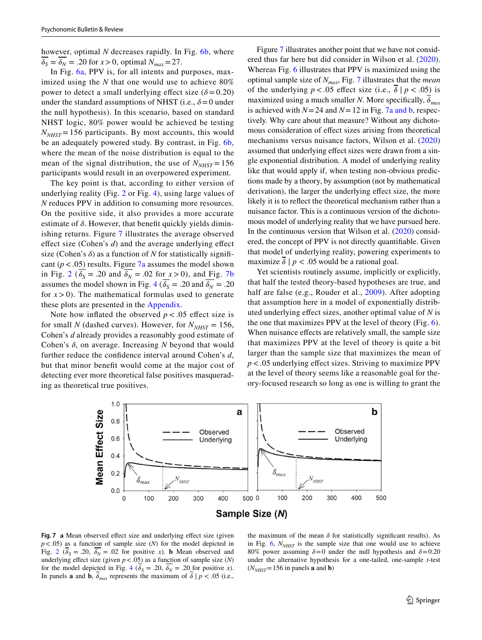however, optimal *N* decreases rapidly. In Fig. [6b,](#page-13-0) where  $\overline{\delta_s} = \overline{\delta_N} = .20$  for  $x > 0$ , optimal  $N_{max} = 27$ .

In Fig. [6a](#page-13-0), PPV is, for all intents and purposes, maximized using the *N* that one would use to achieve 80% power to detect a small underlying effect size  $(\delta = 0.20)$ under the standard assumptions of NHST (i.e.,  $\delta = 0$  under the null hypothesis). In this scenario, based on standard NHST logic, 80% power would be achieved be testing  $N<sub>NHST</sub>$  = 156 participants. By most accounts, this would be an adequately powered study. By contrast, in Fig. [6b,](#page-13-0) where the mean of the noise distribution is equal to the mean of the signal distribution, the use of  $N<sub>NHST</sub> = 156$ participants would result in an overpowered experiment.

The key point is that, according to either version of underlying reality (Fig. [2](#page-10-0) or Fig. [4](#page-12-0)), using large values of *N* reduces PPV in addition to consuming more resources. On the positive side, it also provides a more accurate estimate of *δ*. However, that benefit quickly yields diminishing returns. Figure [7](#page-14-0) illustrates the average observed effect size (Cohen's *d*) and the average underlying effect size (Cohen's *δ*) as a function of *N* for statistically significant ( $p < .05$ ) results. Figure  $7a$  assumes the model shown in Fig. [2](#page-10-0) ( $\delta_s = .20$  and  $\delta_N = .02$  for  $x > 0$ ), and Fig. [7b](#page-14-0) assumes the model shown in Fig. [4](#page-12-0) ( $\overline{\delta_s}$  = .20 and  $\overline{\delta_N}$  = .20 for  $x > 0$ ). The mathematical formulas used to generate these plots are presented in the [Appendix](#page-19-0).

Note how inflated the observed  $p < .05$  effect size is for small *N* (dashed curves). However, for  $N_{NHST} = 156$ , Cohen's *d* already provides a reasonably good estimate of Cohen's *δ*, on average. Increasing *N* beyond that would further reduce the confidence interval around Cohen's *d*, but that minor benefit would come at the major cost of detecting ever more theoretical false positives masquerading as theoretical true positives.

Figure [7](#page-14-0) illustrates another point that we have not considered thus far here but did consider in Wilson et al. [\(2020](#page-24-11)). Whereas Fig. [6](#page-13-0) illustrates that PPV is maximized using the optimal sample size of *Nmax*, Fig. [7](#page-14-0) illustrates that the *mean* of the underlying  $p < .05$  effect size (i.e.,  $\delta | p < .05$ ) is maximized using a much smaller *N*. More specifically,  $\delta_{max}$ is achieved with  $N = 24$  and  $N = 12$  in Fig. [7a and b](#page-14-0), respectively. Why care about that measure? Without any dichotomous consideration of effect sizes arising from theoretical mechanisms versus nuisance factors, Wilson et al. [\(2020\)](#page-24-11) assumed that underlying effect sizes were drawn from a single exponential distribution. A model of underlying reality like that would apply if, when testing non-obvious predictions made by a theory, by assumption (not by mathematical derivation), the larger the underlying effect size, the more likely it is to reflect the theoretical mechanism rather than a nuisance factor. This is a continuous version of the dichotomous model of underlying reality that we have pursued here. In the continuous version that Wilson et al. [\(2020](#page-24-11)) considered, the concept of PPV is not directly quantifiable. Given that model of underlying reality, powering experiments to maximize  $\delta$  |  $p < .05$  would be a rational goal.

Yet scientists routinely assume, implicitly or explicitly, that half the tested theory-based hypotheses are true, and half are false (e.g., Rouder et al., [2009](#page-24-6)). After adopting that assumption here in a model of exponentially distributed underlying effect sizes, another optimal value of *N* is the one that maximizes PPV at the level of theory (Fig. [6](#page-13-0)). When nuisance effects are relatively small, the sample size that maximizes PPV at the level of theory is quite a bit larger than the sample size that maximizes the mean of *p* < .05 underlying effect sizes. Striving to maximize PPV at the level of theory seems like a reasonable goal for theory-focused research so long as one is willing to grant the



<span id="page-14-0"></span>**Fig. 7 a** Mean observed effect size and underlying effect size (given *p* < .05) as a function of sample size (*N*) for the model depicted in Fig. [2](#page-10-0) ( $\delta_S = .20$ ,  $\delta_N = .02$  for positive *x*). **b** Mean observed and underlying effect size (given  $p < .05$ ) as a function of sample size (*N*) for the model depicted in Fig. [4](#page-12-0) ( $\delta_S = .20$ ,  $\delta_N = .20$  for positive *x*). In panels **a** and **b**,  $\overline{\delta}_{max}$  represents the maximum of  $\overline{\delta} \mid p < .05$  (i.e.,

the maximum of the mean  $\delta$  for statistically significant results). As in Fig.  $6$ ,  $N<sub>NHST</sub>$  is the sample size that one would use to achieve 80% power assuming  $\delta = 0$  under the null hypothesis and  $\delta = 0.20$ under the alternative hypothesis for a one-tailed, one-sample *t*-test  $(N<sub>NHST</sub> = 156$  in panels **a** and **b**)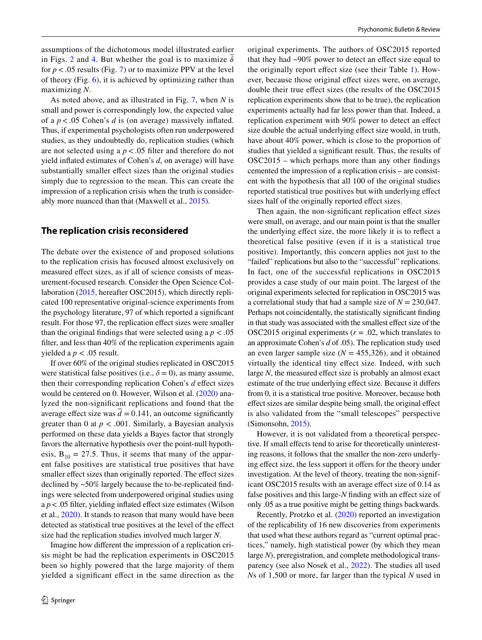assumptions of the dichotomous model illustrated earlier in Figs. [2](#page-10-0) and [4.](#page-12-0) But whether the goal is to maximize  $\delta$ for  $p < .05$  results (Fig. [7\)](#page-14-0) or to maximize PPV at the level of theory (Fig.  $6$ ), it is achieved by optimizing rather than maximizing *N*.

As noted above, and as illustrated in Fig. [7,](#page-14-0) when *N* is small and power is correspondingly low, the expected value of a *p* < .05 Cohen's *d* is (on average) massively inflated. Thus, if experimental psychologists often run underpowered studies, as they undoubtedly do, replication studies (which are not selected using a *p* < .05 filter and therefore do not yield inflated estimates of Cohen's *d*, on average) will have substantially smaller effect sizes than the original studies simply due to regression to the mean. This can create the impression of a replication crisis when the truth is considerably more nuanced than that (Maxwell et al., [2015\)](#page-24-24).

### **The replication crisis reconsidered**

The debate over the existence of and proposed solutions to the replication crisis has focused almost exclusively on measured effect sizes, as if all of science consists of measurement-focused research. Consider the Open Science Collaboration [\(2015](#page-24-25), hereafter OSC2015), which directly replicated 100 representative original-science experiments from the psychology literature, 97 of which reported a significant result. For those 97, the replication effect sizes were smaller than the original findings that were selected using a  $p < .05$ filter, and less than 40% of the replication experiments again yielded a  $p < .05$  result.

If over 60% of the original studies replicated in OSC2015 were statistical false positives (i.e.,  $\delta = 0$ ), as many assume, then their corresponding replication Cohen's *d* effect sizes would be centered on 0. However, Wilson et al. ([2020](#page-24-11)) analyzed the non-significant replications and found that the average effect size was  $d = 0.141$ , an outcome significantly greater than 0 at  $p < .001$ . Similarly, a Bayesian analysis performed on these data yields a Bayes factor that strongly favors the alternative hypothesis over the point-null hypothesis,  $B_{10} = 27.5$ . Thus, it seems that many of the apparent false positives are statistical true positives that have smaller effect sizes than originally reported. The effect sizes declined by ~50% largely because the to-be-replicated findings were selected from underpowered original studies using a *p* < .05 filter, yielding inflated effect size estimates (Wilson et al., [2020\)](#page-24-11). It stands to reason that many would have been detected as statistical true positives at the level of the effect size had the replication studies involved much larger *N*.

Imagine how different the impression of a replication crisis might be had the replication experiments in OSC2015 been so highly powered that the large majority of them yielded a significant effect in the same direction as the original experiments. The authors of OSC2015 reported that they had ~90% power to detect an effect size equal to the originally report effect size (see their Table [1](#page-4-0)). However, because those original effect sizes were, on average, double their true effect sizes (the results of the OSC2015 replication experiments show that to be true), the replication experiments actually had far less power than that. Indeed, a replication experiment with 90% power to detect an effect size double the actual underlying effect size would, in truth, have about 40% power, which is close to the proportion of studies that yielded a significant result. Thus, the results of OSC2015 – which perhaps more than any other findings cemented the impression of a replication crisis – are consistent with the hypothesis that all 100 of the original studies reported statistical true positives but with underlying effect sizes half of the originally reported effect sizes.

Then again, the non-significant replication effect sizes were small, on average, and our main point is that the smaller the underlying effect size, the more likely it is to reflect a theoretical false positive (even if it is a statistical true positive). Importantly, this concern applies not just to the "failed" replications but also to the "successful" replications. In fact, one of the successful replications in OSC2015 provides a case study of our main point. The largest of the original experiments selected for replication in OSC2015 was a correlational study that had a sample size of *N* = 230,047. Perhaps not coincidentally, the statistically significant finding in that study was associated with the smallest effect size of the OSC2015 original experiments  $(r = .02,$  which translates to an approximate Cohen's *d* of .05). The replication study used an even larger sample size  $(N = 455,326)$ , and it obtained virtually the identical tiny effect size. Indeed, with such large *N*, the measured effect size is probably an almost exact estimate of the true underlying effect size. Because it differs from 0, it is a statistical true positive. Moreover, because both effect sizes are similar despite being small, the original effect is also validated from the "small telescopes" perspective (Simonsohn, [2015](#page-24-26)).

However, it is not validated from a theoretical perspective. If small effects tend to arise for theoretically uninteresting reasons, it follows that the smaller the non-zero underlying effect size, the less support it offers for the theory under investigation. At the level of theory, treating the non-significant OSC2015 results with an average effect size of 0.14 as false positives and this large-*N* finding with an effect size of only .05 as a true positive might be getting things backwards.

Recently, Protzko et al. ([2020\)](#page-24-27) reported an investigation of the replicability of 16 new discoveries from experiments that used what these authors regard as "current optimal practices," namely, high statistical power (by which they mean large *N*), preregistration, and complete methodological transparency (see also Nosek et al., [2022](#page-24-28)). The studies all used *N*s of 1,500 or more, far larger than the typical *N* used in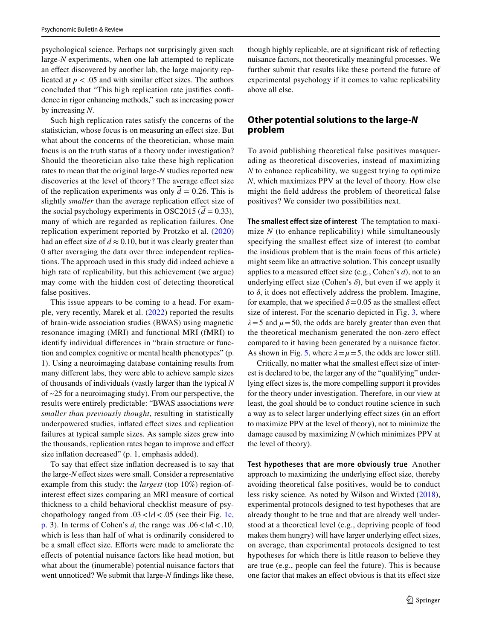psychological science. Perhaps not surprisingly given such large-*N* experiments, when one lab attempted to replicate an effect discovered by another lab, the large majority replicated at *p* < .05 and with similar effect sizes. The authors concluded that "This high replication rate justifies confidence in rigor enhancing methods," such as increasing power by increasing *N*.

Such high replication rates satisfy the concerns of the statistician, whose focus is on measuring an effect size. But what about the concerns of the theoretician, whose main focus is on the truth status of a theory under investigation? Should the theoretician also take these high replication rates to mean that the original large-*N* studies reported new discoveries at the level of theory? The average effect size of the replication experiments was only  $d = 0.26$ . This is slightly *smaller* than the average replication effect size of the social psychology experiments in OSC2015 ( $\overline{d}$  = 0.33), many of which are regarded as replication failures. One replication experiment reported by Protzko et al. ([2020\)](#page-24-27) had an effect size of  $d \approx 0.10$ , but it was clearly greater than 0 after averaging the data over three independent replications. The approach used in this study did indeed achieve a high rate of replicability, but this achievement (we argue) may come with the hidden cost of detecting theoretical false positives.

This issue appears to be coming to a head. For example, very recently, Marek et al. [\(2022\)](#page-24-29) reported the results of brain-wide association studies (BWAS) using magnetic resonance imaging (MRI) and functional MRI (fMRI) to identify individual differences in "brain structure or function and complex cognitive or mental health phenotypes" (p. 1). Using a neuroimaging database containing results from many different labs, they were able to achieve sample sizes of thousands of individuals (vastly larger than the typical *N* of ~25 for a neuroimaging study). From our perspective, the results were entirely predictable: "BWAS associations *were smaller than previously thought*, resulting in statistically underpowered studies, inflated effect sizes and replication failures at typical sample sizes. As sample sizes grew into the thousands, replication rates began to improve and effect size inflation decreased" (p. 1, emphasis added).

To say that effect size inflation decreased is to say that the large-*N* effect sizes were small. Consider a representative example from this study: the *largest* (top 10%) region-ofinterest effect sizes comparing an MRI measure of cortical thickness to a child behavioral checklist measure of psychopathology ranged from  $.03 < |r| < .05$  (see their Fig. [1c,](#page-7-1) [p](#page-7-1). 3). In terms of Cohen's  $d$ , the range was  $.06 < |d| < .10$ , which is less than half of what is ordinarily considered to be a small effect size. Efforts were made to ameliorate the effects of potential nuisance factors like head motion, but what about the (inumerable) potential nuisance factors that went unnoticed? We submit that large-*N* findings like these, though highly replicable, are at significant risk of reflecting nuisance factors, not theoretically meaningful processes. We further submit that results like these portend the future of experimental psychology if it comes to value replicability above all else.

## **Other potential solutions to the large‑N problem**

To avoid publishing theoretical false positives masquerading as theoretical discoveries, instead of maximizing *N* to enhance replicability, we suggest trying to optimize *N*, which maximizes PPV at the level of theory. How else might the field address the problem of theoretical false positives? We consider two possibilities next.

**The smallest effect size of interest** The temptation to maximize *N* (to enhance replicability) while simultaneously specifying the smallest effect size of interest (to combat the insidious problem that is the main focus of this article) might seem like an attractive solution. This concept usually applies to a measured effect size (e.g., Cohen's *d*), not to an underlying effect size (Cohen's *δ*), but even if we apply it to  $\delta$ , it does not effectively address the problem. Imagine, for example, that we specified  $\delta$  = 0.05 as the smallest effect size of interest. For the scenario depicted in Fig. [3,](#page-11-0) where  $\lambda$  = 5 and  $\mu$  = 50, the odds are barely greater than even that the theoretical mechanism generated the non-zero effect compared to it having been generated by a nuisance factor. As shown in Fig. [5](#page-13-1), where  $\lambda = \mu = 5$ , the odds are lower still.

Critically, no matter what the smallest effect size of interest is declared to be, the larger any of the "qualifying" underlying effect sizes is, the more compelling support it provides for the theory under investigation. Therefore, in our view at least, the goal should be to conduct routine science in such a way as to select larger underlying effect sizes (in an effort to maximize PPV at the level of theory), not to minimize the damage caused by maximizing *N* (which minimizes PPV at the level of theory).

**Test hypotheses that are more obviously true** Another approach to maximizing the underlying effect size, thereby avoiding theoretical false positives, would be to conduct less risky science. As noted by Wilson and Wixted [\(2018](#page-24-21)), experimental protocols designed to test hypotheses that are already thought to be true and that are already well understood at a theoretical level (e.g., depriving people of food makes them hungry) will have larger underlying effect sizes, on average, than experimental protocols designed to test hypotheses for which there is little reason to believe they are true (e.g., people can feel the future). This is because one factor that makes an effect obvious is that its effect size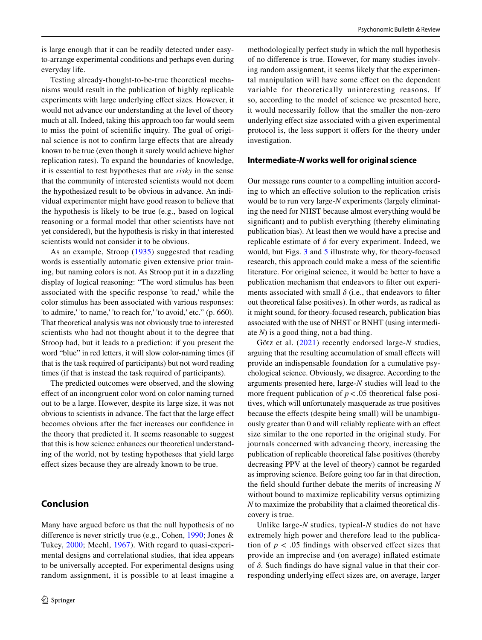is large enough that it can be readily detected under easyto-arrange experimental conditions and perhaps even during everyday life.

Testing already-thought-to-be-true theoretical mechanisms would result in the publication of highly replicable experiments with large underlying effect sizes. However, it would not advance our understanding at the level of theory much at all. Indeed, taking this approach too far would seem to miss the point of scientific inquiry. The goal of original science is not to confirm large effects that are already known to be true (even though it surely would achieve higher replication rates). To expand the boundaries of knowledge, it is essential to test hypotheses that are *risky* in the sense that the community of interested scientists would not deem the hypothesized result to be obvious in advance. An individual experimenter might have good reason to believe that the hypothesis is likely to be true (e.g., based on logical reasoning or a formal model that other scientists have not yet considered), but the hypothesis is risky in that interested scientists would not consider it to be obvious.

As an example, Stroop [\(1935](#page-24-30)) suggested that reading words is essentially automatic given extensive prior training, but naming colors is not. As Stroop put it in a dazzling display of logical reasoning: "The word stimulus has been associated with the specific response 'to read,' while the color stimulus has been associated with various responses: 'to admire,' 'to name,' 'to reach for,' 'to avoid,' etc." (p. 660). That theoretical analysis was not obviously true to interested scientists who had not thought about it to the degree that Stroop had, but it leads to a prediction: if you present the word "blue" in red letters, it will slow color-naming times (if that is the task required of participants) but not word reading times (if that is instead the task required of participants).

The predicted outcomes were observed, and the slowing effect of an incongruent color word on color naming turned out to be a large. However, despite its large size, it was not obvious to scientists in advance. The fact that the large effect becomes obvious after the fact increases our confidence in the theory that predicted it. It seems reasonable to suggest that this is how science enhances our theoretical understanding of the world, not by testing hypotheses that yield large effect sizes because they are already known to be true.

# **Conclusion**

Many have argued before us that the null hypothesis of no difference is never strictly true (e.g., Cohen, [1990](#page-23-10); Jones & Tukey, [2000](#page-24-14); Meehl, [1967](#page-24-7)). With regard to quasi-experimental designs and correlational studies, that idea appears to be universally accepted. For experimental designs using random assignment, it is possible to at least imagine a methodologically perfect study in which the null hypothesis of no difference is true. However, for many studies involving random assignment, it seems likely that the experimental manipulation will have some effect on the dependent variable for theoretically uninteresting reasons. If so, according to the model of science we presented here, it would necessarily follow that the smaller the non-zero underlying effect size associated with a given experimental protocol is, the less support it offers for the theory under investigation.

### **Intermediate‑N works well for original science**

Our message runs counter to a compelling intuition according to which an effective solution to the replication crisis would be to run very large-*N* experiments (largely eliminating the need for NHST because almost everything would be significant) and to publish everything (thereby eliminating publication bias). At least then we would have a precise and replicable estimate of *δ* for every experiment. Indeed, we would, but Figs. [3](#page-11-0) and [5](#page-13-1) illustrate why, for theory-focused research, this approach could make a mess of the scientific literature. For original science, it would be better to have a publication mechanism that endeavors to filter out experiments associated with small  $\delta$  (i.e., that endeavors to filter out theoretical false positives). In other words, as radical as it might sound, for theory-focused research, publication bias associated with the use of NHST or BNHT (using intermediate *N*) is a good thing, not a bad thing.

Götz et al. ([2021](#page-23-7)) recently endorsed large-*N* studies, arguing that the resulting accumulation of small effects will provide an indispensable foundation for a cumulative psychological science. Obviously, we disagree. According to the arguments presented here, large-*N* studies will lead to the more frequent publication of  $p < .05$  theoretical false positives, which will unfortunately masquerade as true positives because the effects (despite being small) will be unambiguously greater than 0 and will reliably replicate with an effect size similar to the one reported in the original study. For journals concerned with advancing theory, increasing the publication of replicable theoretical false positives (thereby decreasing PPV at the level of theory) cannot be regarded as improving science. Before going too far in that direction, the field should further debate the merits of increasing *N* without bound to maximize replicability versus optimizing *N* to maximize the probability that a claimed theoretical discovery is true.

Unlike large-*N* studies, typical-*N* studies do not have extremely high power and therefore lead to the publication of  $p < .05$  findings with observed effect sizes that provide an imprecise and (on average) inflated estimate of *δ*. Such findings do have signal value in that their corresponding underlying effect sizes are, on average, larger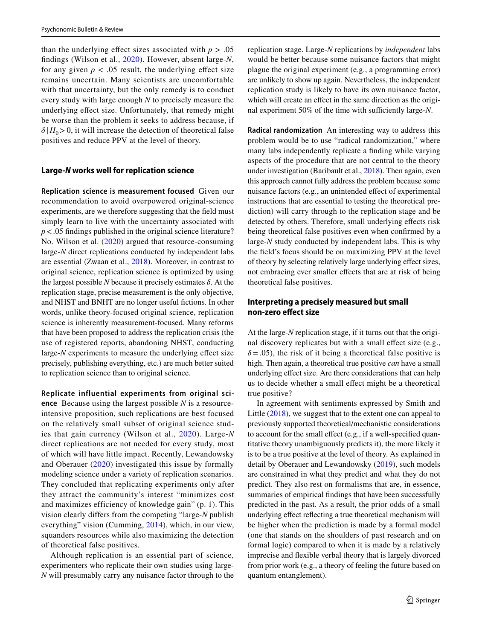than the underlying effect sizes associated with  $p > .05$ findings (Wilson et al., [2020\)](#page-24-11). However, absent large-*N*, for any given  $p < .05$  result, the underlying effect size remains uncertain. Many scientists are uncomfortable with that uncertainty, but the only remedy is to conduct every study with large enough *N* to precisely measure the underlying effect size. Unfortunately, that remedy might be worse than the problem it seeks to address because, if  $\delta$  |  $H_0$  > 0, it will increase the detection of theoretical false positives and reduce PPV at the level of theory.

#### **Large‑N works well for replication science**

**Replication science is measurement focused** Given our recommendation to avoid overpowered original-science experiments, are we therefore suggesting that the field must simply learn to live with the uncertainty associated with *p* < .05 findings published in the original science literature? No. Wilson et al. ([2020](#page-24-11)) argued that resource-consuming large-*N* direct replications conducted by independent labs are essential (Zwaan et al., [2018\)](#page-24-31). Moreover, in contrast to original science, replication science is optimized by using the largest possible *N* because it precisely estimates *δ*. At the replication stage, precise measurement is the only objective, and NHST and BNHT are no longer useful fictions. In other words, unlike theory-focused original science, replication science is inherently measurement-focused. Many reforms that have been proposed to address the replication crisis (the use of registered reports, abandoning NHST, conducting large-*N* experiments to measure the underlying effect size precisely, publishing everything, etc.) are much better suited to replication science than to original science.

**Replicate influential experiments from original science** Because using the largest possible *N* is a resourceintensive proposition, such replications are best focused on the relatively small subset of original science studies that gain currency (Wilson et al., [2020](#page-24-11)). Large-*N* direct replications are not needed for every study, most of which will have little impact. Recently, Lewandowsky and Oberauer [\(2020](#page-24-32)) investigated this issue by formally modeling science under a variety of replication scenarios. They concluded that replicating experiments only after they attract the community's interest "minimizes cost and maximizes efficiency of knowledge gain" (p. 1). This vision clearly differs from the competing "large-*N* publish everything" vision (Cumming, [2014](#page-23-1)), which, in our view, squanders resources while also maximizing the detection of theoretical false positives.

Although replication is an essential part of science, experimenters who replicate their own studies using large-*N* will presumably carry any nuisance factor through to the replication stage. Large-*N* replications by *independent* labs would be better because some nuisance factors that might plague the original experiment (e.g., a programming error) are unlikely to show up again. Nevertheless, the independent replication study is likely to have its own nuisance factor, which will create an effect in the same direction as the original experiment 50% of the time with sufficiently large-*N*.

**Radical randomization** An interesting way to address this problem would be to use "radical randomization," where many labs independently replicate a finding while varying aspects of the procedure that are not central to the theory under investigation (Baribault et al., [2018](#page-23-4)). Then again, even this approach cannot fully address the problem because some nuisance factors (e.g., an unintended effect of experimental instructions that are essential to testing the theoretical prediction) will carry through to the replication stage and be detected by others. Therefore, small underlying effects risk being theoretical false positives even when confirmed by a large-*N* study conducted by independent labs. This is why the field's focus should be on maximizing PPV at the level of theory by selecting relatively large underlying effect sizes, not embracing ever smaller effects that are at risk of being theoretical false positives.

### **Interpreting a precisely measured but small non‑zero effect size**

At the large-*N* replication stage, if it turns out that the original discovery replicates but with a small effect size (e.g.,  $\delta$  = .05), the risk of it being a theoretical false positive is high. Then again, a theoretical true positive *can* have a small underlying effect size. Are there considerations that can help us to decide whether a small effect might be a theoretical true positive?

In agreement with sentiments expressed by Smith and Little [\(2018](#page-24-33)), we suggest that to the extent one can appeal to previously supported theoretical/mechanistic considerations to account for the small effect (e.g., if a well-specified quantitative theory unambiguously predicts it), the more likely it is to be a true positive at the level of theory. As explained in detail by Oberauer and Lewandowsky [\(2019\)](#page-24-4), such models are constrained in what they predict and what they do not predict. They also rest on formalisms that are, in essence, summaries of empirical findings that have been successfully predicted in the past. As a result, the prior odds of a small underlying effect reflecting a true theoretical mechanism will be higher when the prediction is made by a formal model (one that stands on the shoulders of past research and on formal logic) compared to when it is made by a relatively imprecise and flexible verbal theory that is largely divorced from prior work (e.g., a theory of feeling the future based on quantum entanglement).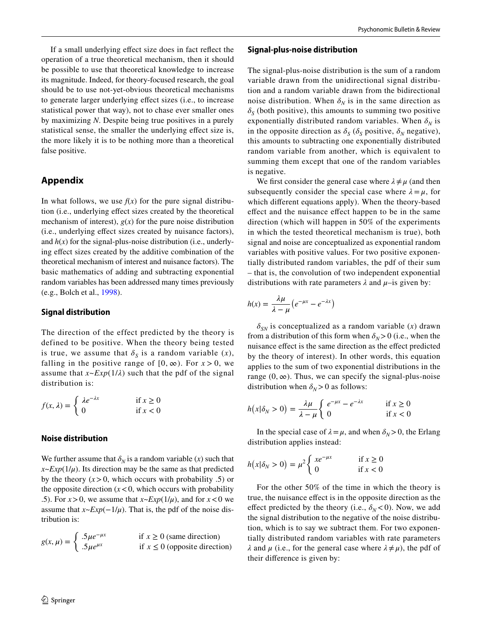If a small underlying effect size does in fact reflect the operation of a true theoretical mechanism, then it should be possible to use that theoretical knowledge to increase its magnitude. Indeed, for theory-focused research, the goal should be to use not-yet-obvious theoretical mechanisms to generate larger underlying effect sizes (i.e., to increase statistical power that way), not to chase ever smaller ones by maximizing *N*. Despite being true positives in a purely statistical sense, the smaller the underlying effect size is, the more likely it is to be nothing more than a theoretical false positive.

### <span id="page-19-0"></span>**Appendix**

In what follows, we use  $f(x)$  for the pure signal distribution (i.e., underlying effect sizes created by the theoretical mechanism of interest),  $g(x)$  for the pure noise distribution (i.e., underlying effect sizes created by nuisance factors), and  $h(x)$  for the signal-plus-noise distribution (i.e., underlying effect sizes created by the additive combination of the theoretical mechanism of interest and nuisance factors). The basic mathematics of adding and subtracting exponential random variables has been addressed many times previously (e.g., Bolch et al., [1998](#page-23-11)).

#### **Signal distribution**

The direction of the effect predicted by the theory is defined to be positive. When the theory being tested is true, we assume that  $\delta_S$  is a random variable  $(x)$ , falling in the positive range of  $[0, \infty)$ . For  $x > 0$ , we assume that  $x \sim Exp(1/\lambda)$  such that the pdf of the signal distribution is:

$$
f(x, \lambda) = \begin{cases} \lambda e^{-\lambda x} & \text{if } x \ge 0 \\ 0 & \text{if } x < 0 \end{cases}
$$

### **Noise distribution**

We further assume that  $\delta_N$  is a random variable  $(x)$  such that  $x \sim Exp(1/\mu)$ . Its direction may be the same as that predicted by the theory  $(x>0$ , which occurs with probability .5) or the opposite direction  $(x < 0$ , which occurs with probability .5). For  $x > 0$ , we assume that  $x \sim Exp(1/\mu)$ , and for  $x < 0$  we assume that  $x \sim Exp(-1/\mu)$ . That is, the pdf of the noise distribution is:

$$
g(x, \mu) = \begin{cases} .5\mu e^{-\mu x} & \text{if } x \ge 0 \text{ (same direction)} \\ .5\mu e^{\mu x} & \text{if } x \le 0 \text{ (opposite direction)} \end{cases}
$$

#### **Signal‑plus‑noise distribution**

The signal-plus-noise distribution is the sum of a random variable drawn from the unidirectional signal distribution and a random variable drawn from the bidirectional noise distribution. When  $\delta_N$  is in the same direction as  $\delta_S$  (both positive), this amounts to summing two positive exponentially distributed random variables. When  $\delta_N$  is in the opposite direction as  $\delta_S$  ( $\delta_S$  positive,  $\delta_N$  negative), this amounts to subtracting one exponentially distributed random variable from another, which is equivalent to summing them except that one of the random variables is negative.

We first consider the general case where  $\lambda \neq \mu$  (and then subsequently consider the special case where  $\lambda = \mu$ , for which different equations apply). When the theory-based effect and the nuisance effect happen to be in the same direction (which will happen in 50% of the experiments in which the tested theoretical mechanism is true), both signal and noise are conceptualized as exponential random variables with positive values. For two positive exponentially distributed random variables, the pdf of their sum – that is, the convolution of two independent exponential distributions with rate parameters  $\lambda$  and  $\mu$ –is given by:

$$
h(x) = \frac{\lambda \mu}{\lambda - \mu} \left( e^{-\mu x} - e^{-\lambda x} \right)
$$

 $\delta_{SN}$  is conceptualized as a random variable (*x*) drawn from a distribution of this form when  $\delta_N$  > 0 (i.e., when the nuisance effect is the same direction as the effect predicted by the theory of interest). In other words, this equation applies to the sum of two exponential distributions in the range  $(0, \infty)$ . Thus, we can specify the signal-plus-noise distribution when  $\delta_N$  > 0 as follows:

$$
h(x|\delta_N > 0) = \frac{\lambda \mu}{\lambda - \mu} \begin{cases} e^{-\mu x} - e^{-\lambda x} & \text{if } x \ge 0\\ 0 & \text{if } x < 0 \end{cases}
$$

In the special case of  $\lambda = \mu$ , and when  $\delta_N > 0$ , the Erlang distribution applies instead:

$$
h(x|\delta_N > 0) = \mu^2 \begin{cases} xe^{-\mu x} & \text{if } x \ge 0\\ 0 & \text{if } x < 0 \end{cases}
$$

For the other 50% of the time in which the theory is true, the nuisance effect is in the opposite direction as the effect predicted by the theory (i.e.,  $\delta_N < 0$ ). Now, we add the signal distribution to the negative of the noise distribution, which is to say we subtract them. For two exponentially distributed random variables with rate parameters *λ* and *μ* (i.e., for the general case where  $λ \neq μ$ ), the pdf of their difference is given by: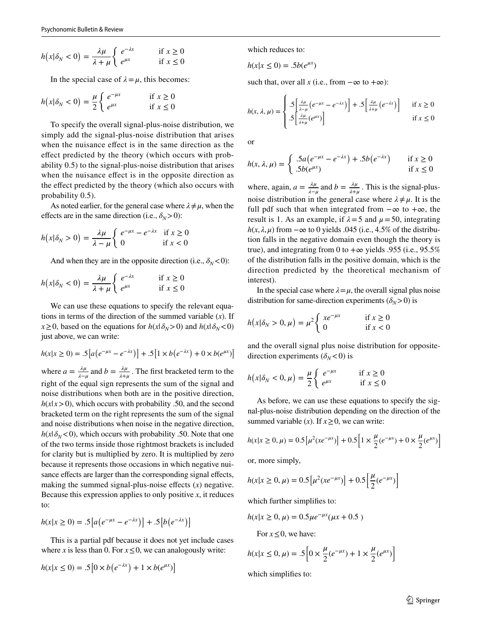$$
h(x|\delta_N < 0) = \frac{\lambda \mu}{\lambda + \mu} \begin{cases} e^{-\lambda x} & \text{if } x \ge 0\\ e^{\mu x} & \text{if } x \le 0 \end{cases}
$$

In the special case of  $\lambda = \mu$ , this becomes:

$$
h(x|\delta_N < 0) = \frac{\mu}{2} \begin{cases} e^{-\mu x} & \text{if } x \ge 0\\ e^{\mu x} & \text{if } x \le 0 \end{cases}
$$

To specify the overall signal-plus-noise distribution, we simply add the signal-plus-noise distribution that arises when the nuisance effect is in the same direction as the effect predicted by the theory (which occurs with probability 0.5) to the signal-plus-noise distribution that arises when the nuisance effect is in the opposite direction as the effect predicted by the theory (which also occurs with probability 0.5).

As noted earlier, for the general case where  $\lambda \neq \mu$ , when the effects are in the same direction (i.e.,  $\delta_N$ >0):

$$
h(x|\delta_N > 0) = \frac{\lambda \mu}{\lambda - \mu} \begin{cases} e^{-\mu x} - e^{-\lambda x} & \text{if } x \ge 0\\ 0 & \text{if } x < 0 \end{cases}
$$

And when they are in the opposite direction (i.e.,  $\delta_N < 0$ ):

$$
h(x|\delta_N < 0) = \frac{\lambda \mu}{\lambda + \mu} \begin{cases} e^{-\lambda x} & \text{if } x \ge 0 \\ e^{\mu x} & \text{if } x \le 0 \end{cases}
$$

We can use these equations to specify the relevant equations in terms of the direction of the summed variable (*x*). If  $x \ge 0$ , based on the equations for  $h(x|\delta_N > 0)$  and  $h(x|\delta_N < 0)$ just above, we can write:

$$
h(x|x \ge 0) = .5[a(e^{-\mu x} - e^{-\lambda x})] + .5[1 \times b(e^{-\lambda x}) + 0 \times b(e^{\mu x})]
$$

where  $a = \frac{\lambda \mu}{\lambda}$  $\frac{\lambda \mu}{\lambda - \mu}$  and  $b = \frac{\lambda \mu}{\lambda + \mu}$  $\frac{\lambda \mu}{\lambda + \mu}$ . The first bracketed term to the right of the equal sign represents the sum of the signal and noise distributions when both are in the positive direction,  $h(x|x>0)$ , which occurs with probability .50, and the second bracketed term on the right represents the sum of the signal and noise distributions when noise in the negative direction,  $h(x|\delta_N < 0)$ , which occurs with probability .50. Note that one of the two terms inside those rightmost brackets is included for clarity but is multiplied by zero. It is multiplied by zero because it represents those occasions in which negative nuisance effects are larger than the corresponding signal effects, making the summed signal-plus-noise effects (*x*) negative. Because this expression applies to only positive *x*, it reduces to:

$$
h(x|x \ge 0) = .5[a(e^{-\mu x} - e^{-\lambda x})] + .5[b(e^{-\lambda x})]
$$

This is a partial pdf because it does not yet include cases where *x* is less than 0. For  $x \le 0$ , we can analogously write:

$$
h(x|x \le 0) = .5[0 \times b(e^{-\lambda x}) + 1 \times b(e^{\mu x})]
$$

which reduces to:

$$
h(x|x \le 0) = .5b(e^{\mu x})
$$

such that, over all *x* (i.e., from  $-\infty$  to  $+\infty$ ):

$$
h(x, \lambda, \mu) = \begin{cases} .5\left[\frac{\lambda\mu}{\lambda-\mu}\left(e^{-\mu x} - e^{-\lambda x}\right)\right] + .5\left[\frac{\lambda\mu}{\lambda+\mu}\left(e^{-\lambda x}\right)\right] & \text{if } x \ge 0\\ .5\left[\frac{\lambda\mu}{\lambda+\mu}\left(e^{\mu x}\right)\right] & \text{if } x \le 0 \end{cases}
$$

or

$$
h(x, \lambda, \mu) = \begin{cases} .5a(e^{-\mu x} - e^{-\lambda x}) + .5b(e^{-\lambda x}) & \text{if } x \ge 0 \\ .5b(e^{\mu x}) & \text{if } x \le 0 \end{cases}
$$

where, again,  $a = \frac{\lambda \mu}{\lambda}$  $\frac{\lambda \mu}{\lambda - \mu}$  and  $b = \frac{\lambda \mu}{\lambda + \mu}$  $\frac{\lambda \mu}{\lambda + \mu}$ . This is the signal-plusnoise distribution in the general case where  $\lambda \neq \mu$ . It is the full pdf such that when integrated from  $-\infty$  to  $+\infty$ , the result is 1. As an example, if  $\lambda = 5$  and  $\mu = 50$ , integrating  $h(x, \lambda, \mu)$  from  $-\infty$  to 0 yields .045 (i.e., 4.5% of the distribution falls in the negative domain even though the theory is true), and integrating from 0 to  $+\infty$  yields .955 (i.e., 95.5%) of the distribution falls in the positive domain, which is the direction predicted by the theoretical mechanism of interest).

In the special case where  $\lambda = \mu$ , the overall signal plus noise distribution for same-direction experiments ( $\delta_N$ >0) is

$$
h(x|\delta_N > 0, \mu) = \mu^2 \begin{cases} xe^{-\mu x} & \text{if } x \ge 0\\ 0 & \text{if } x < 0 \end{cases}
$$

and the overall signal plus noise distribution for oppositedirection experiments  $(\delta_N < 0)$  is

$$
h(x|\delta_N < 0, \mu) = \frac{\mu}{2} \begin{cases} e^{-\mu x} & \text{if } x \ge 0\\ e^{\mu x} & \text{if } x \le 0 \end{cases}
$$

As before, we can use these equations to specify the signal-plus-noise distribution depending on the direction of the summed variable  $(x)$ . If  $x \ge 0$ , we can write:

$$
h(x|x \ge 0, \mu) = 0.5 [\mu^{2} (xe^{-\mu x})] + 0.5 [1 \times \frac{\mu}{2} (e^{-\mu x}) + 0 \times \frac{\mu}{2} (e^{\mu x})]
$$

or, more simply,

$$
h(x|x \ge 0, \mu) = 0.5 [\mu^{2} (xe^{-\mu x})] + 0.5 [\frac{\mu}{2} (e^{-\mu x})]
$$

which further simplifies to:

$$
h(x|x\geq 0,\mu)=0.5\mu e^{-\mu x}(\mu x+0.5~)
$$

For  $x \leq 0$ , we have:

$$
h(x|x \le 0, \mu) = .5 \left[ 0 \times \frac{\mu}{2} (e^{-\mu x}) + 1 \times \frac{\mu}{2} (e^{\mu x}) \right]
$$

which simplifies to: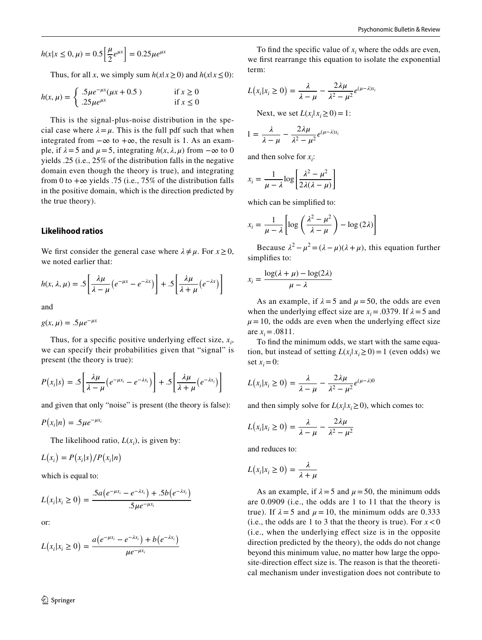$$
h(x|x \le 0, \mu) = 0.5 \left[ \frac{\mu}{2} e^{\mu x} \right] = 0.25 \mu e^{\mu x}
$$

Thus, for all *x*, we simply sum  $h(x|x \ge 0)$  and  $h(x|x \le 0)$ :

$$
h(x, \mu) = \begin{cases} .5\mu e^{-\mu x}(\mu x + 0.5) & \text{if } x \ge 0 \\ .25\mu e^{\mu x} & \text{if } x \le 0 \end{cases}
$$

This is the signal-plus-noise distribution in the special case where  $\lambda = \mu$ . This is the full pdf such that when integrated from  $-\infty$  to  $+\infty$ , the result is 1. As an example, if  $\lambda = 5$  and  $\mu = 5$ , integrating  $h(x, \lambda, \mu)$  from  $-\infty$  to 0 yields .25 (i.e., 25% of the distribution falls in the negative domain even though the theory is true), and integrating from 0 to + $\infty$  yields .75 (i.e., 75% of the distribution falls in the positive domain, which is the direction predicted by the true theory).

### **Likelihood ratios**

We first consider the general case where  $\lambda \neq \mu$ . For  $x \geq 0$ , we noted earlier that:

$$
h(x, \lambda, \mu) = .5 \left[ \frac{\lambda \mu}{\lambda - \mu} \left( e^{-\mu x} - e^{-\lambda x} \right) \right] + .5 \left[ \frac{\lambda \mu}{\lambda + \mu} \left( e^{-\lambda x} \right) \right]
$$

and

$$
g(x,\mu) = .5\mu e^{-\mu x}
$$

Thus, for a specific positive underlying effect size,  $x_i$ , we can specify their probabilities given that "signal" is present (the theory is true):

$$
P(x_i|s) = .5\left[\frac{\lambda\mu}{\lambda-\mu}\left(e^{-\mu x_i} - e^{-\lambda x_i}\right)\right] + .5\left[\frac{\lambda\mu}{\lambda+\mu}\left(e^{-\lambda x_i}\right)\right]
$$

and given that only "noise" is present (the theory is false):

$$
P(x_i|n) = .5\mu e^{-\mu x_i}
$$

The likelihood ratio,  $L(x_i)$ , is given by:

$$
L(x_i) = P(x_i|s)/P(x_i|n)
$$

which is equal to:

$$
L(x_i|x_i \ge 0) = \frac{.5a(e^{-\mu x_i} - e^{-\lambda x_i}) + .5b(e^{-\lambda x_i})}{.5\mu e^{-\mu x_i}}
$$

or:

$$
L(x_i|x_i \ge 0) = \frac{a(e^{-\mu x_i} - e^{-\lambda x_i}) + b(e^{-\lambda x_i})}{\mu e^{-\mu x_i}}
$$

To find the specific value of  $x_i$  where the odds are even, we first rearrange this equation to isolate the exponential term:

$$
L(x_i|x_i \ge 0) = \frac{\lambda}{\lambda - \mu} - \frac{2\lambda\mu}{\lambda^2 - \mu^2} e^{(\mu - \lambda)x_i}
$$
  
Next, we set  $L(x_i|x_i \ge 0) = 1$ :  

$$
1 = \frac{\lambda}{\lambda - \mu} - \frac{2\lambda\mu}{\lambda^2 - \mu^2} e^{(\mu - \lambda)x_i}
$$

and then solve for *x<sup>i</sup>* :

$$
x_i = \frac{1}{\mu - \lambda} \log \left[ \frac{\lambda^2 - \mu^2}{2\lambda(\lambda - \mu)} \right]
$$

which can be simplified to:

$$
x_i = \frac{1}{\mu - \lambda} \left[ \log \left( \frac{\lambda^2 - \mu^2}{\lambda - \mu} \right) - \log(2\lambda) \right]
$$

Because  $\lambda^2 - \mu^2 = (\lambda - \mu)(\lambda + \mu)$ , this equation further simplifies to:

$$
x_i = \frac{\log(\lambda + \mu) - \log(2\lambda)}{\mu - \lambda}
$$

As an example, if  $\lambda = 5$  and  $\mu = 50$ , the odds are even when the underlying effect size are  $x_i = .0379$ . If  $\lambda = 5$  and  $\mu = 10$ , the odds are even when the underlying effect size are  $x_i = .0811$ .

To find the minimum odds, we start with the same equation, but instead of setting  $L(x_i | x_i \ge 0) = 1$  (even odds) we set  $x_i = 0$ :

$$
L(x_i|x_i \ge 0) = \frac{\lambda}{\lambda - \mu} - \frac{2\lambda\mu}{\lambda^2 - \mu^2}e^{(\mu - \lambda)0}
$$

and then simply solve for  $L(x_i | x_i \ge 0)$ , which comes to:

$$
L(x_i|x_i \ge 0) = \frac{\lambda}{\lambda - \mu} - \frac{2\lambda\mu}{\lambda^2 - \mu^2}
$$

and reduces to:

$$
L(x_i|x_i \ge 0) = \frac{\lambda}{\lambda + \mu}
$$

As an example, if  $\lambda = 5$  and  $\mu = 50$ , the minimum odds are 0.0909 (i.e., the odds are 1 to 11 that the theory is true). If  $\lambda = 5$  and  $\mu = 10$ , the minimum odds are 0.333 (i.e., the odds are 1 to 3 that the theory is true). For  $x < 0$ (i.e., when the underlying effect size is in the opposite direction predicted by the theory), the odds do not change beyond this minimum value, no matter how large the opposite-direction effect size is. The reason is that the theoretical mechanism under investigation does not contribute to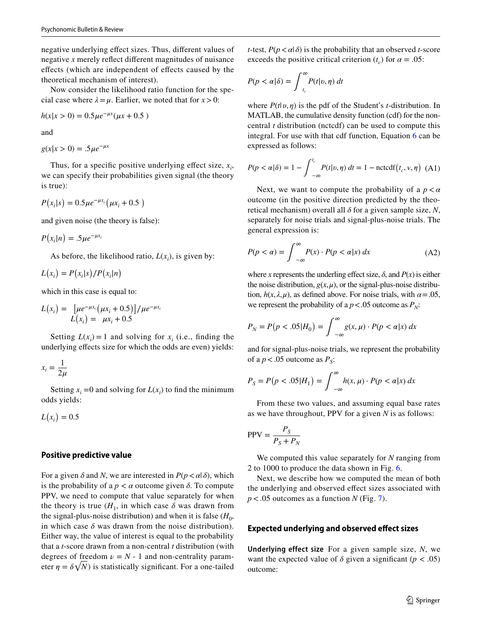negative underlying effect sizes. Thus, different values of negative *x* merely reflect different magnitudes of nuisance effects (which are independent of effects caused by the theoretical mechanism of interest).

Now consider the likelihood ratio function for the special case where  $\lambda = \mu$ . Earlier, we noted that for  $x > 0$ :

$$
h(x|x>0) = 0.5\mu e^{-\mu x}(\mu x + 0.5)
$$

and

 $g(x|x > 0) = .5\mu e^{-\mu x}$ 

Thus, for a specific positive underlying effect size,  $x_i$ , we can specify their probabilities given signal (the theory is true):

$$
P(x_i|s) = 0.5\mu e^{-\mu x_i}(\mu x_i + 0.5)
$$

and given noise (the theory is false):

 $P(x_i|n) = .5\mu e^{-\mu x_i}$ 

As before, the likelihood ratio,  $L(x_i)$ , is given by:

 $L(x_i) = P(x_i|s)/P(x_i|n)$ 

which in this case is equal to:

$$
L(x_i) = \left[ \mu e^{-\mu x_i} (\mu x_i + 0.5) \right] / \mu e^{-\mu x_i}
$$
  

$$
L(x_i) = \mu x_i + 0.5
$$

Setting  $L(x_i) = 1$  and solving for  $x_i$  (i.e., finding the underlying effects size for which the odds are even) yields:

$$
x_i = \frac{1}{2\mu}
$$

Setting  $x_i = 0$  and solving for  $L(x_i)$  to find the minimum odds yields:

 $L(x_i) = 0.5$ 

### **Positive predictive value**

For a given  $\delta$  and *N*, we are interested in  $P(p < \alpha | \delta)$ , which is the probability of a  $p < \alpha$  outcome given  $\delta$ . To compute PPV, we need to compute that value separately for when the theory is true  $(H_1)$ , in which case  $\delta$  was drawn from the signal-plus-noise distribution) and when it is false  $(H_0,$ in which case  $\delta$  was drawn from the noise distribution). Either way, the value of interest is equal to the probability that a *t*-score drawn from a non-central *t* distribution (with degrees of freedom  $\nu = N - 1$  and non-centrality parameter  $\eta = \delta \sqrt{N}$ ) is statistically significant. For a one-tailed *t*-test,  $P(p < \alpha | \delta)$  is the probability that an observed *t*-score exceeds the positive critical criterion  $(t_c)$  for  $\alpha = .05$ :

$$
P(p < \alpha | \delta) = \int_{t_c}^{\infty} P(t | v, \eta) \, dt
$$

where  $P(t|v, \eta)$  is the pdf of the Student's *t*-distribution. In MATLAB, the cumulative density function (cdf) for the noncentral *t* distribution (nctcdf) can be used to compute this integral. For use with that cdf function, Equation [6](#page-9-6) can be expressed as follows:

<span id="page-22-0"></span>
$$
P(p < \alpha | \delta) = 1 - \int_{-\infty}^{t_c} P(t | v, \eta) \, dt = 1 - \text{nctcdf}(t_c, v, \eta) \tag{A1}
$$

Next, we want to compute the probability of a  $p < \alpha$ outcome (in the positive direction predicted by the theoretical mechanism) overall all *δ* for a given sample size, *N*, separately for noise trials and signal-plus-noise trials. The general expression is:

$$
P(p < \alpha) = \int_{-\infty}^{\infty} P(x) \cdot P(p < \alpha | x) \, dx \tag{A2}
$$

where *x* represents the underling effect size,  $\delta$ , and  $P(x)$  is either the noise distribution,  $g(x, \mu)$ , or the signal-plus-noise distribution,  $h(x, \lambda, \mu)$ , as defined above. For noise trials, with  $\alpha = .05$ , we represent the probability of a  $p < .05$  outcome as  $P_N$ :

$$
P_N = P(p < .05 | H_0) = \int_{-\infty}^{\infty} g(x, \mu) \cdot P(p < \alpha | x) \, dx
$$

and for signal-plus-noise trials, we represent the probability of a  $p < .05$  outcome as  $P<sub>S</sub>$ :

$$
P_S = P(p < .05 | H_1) = \int_{-\infty}^{\infty} h(x, \mu) \cdot P(p < \alpha | x) \, dx
$$

From these two values, and assuming equal base rates as we have throughout, PPV for a given *N* is as follows:

$$
PPV = \frac{P_S}{P_S + P_N}
$$

We computed this value separately for *N* ranging from 2 to 1000 to produce the data shown in Fig. [6.](#page-13-0)

Next, we describe how we computed the mean of both the underlying and observed effect sizes associated with *p* < .05 outcomes as a function *N* (Fig. [7](#page-14-0)).

### **Expected underlying and observed effect sizes**

**Underlying effect size** For a given sample size, *N*, we want the expected value of  $\delta$  given a significant ( $p < .05$ ) outcome: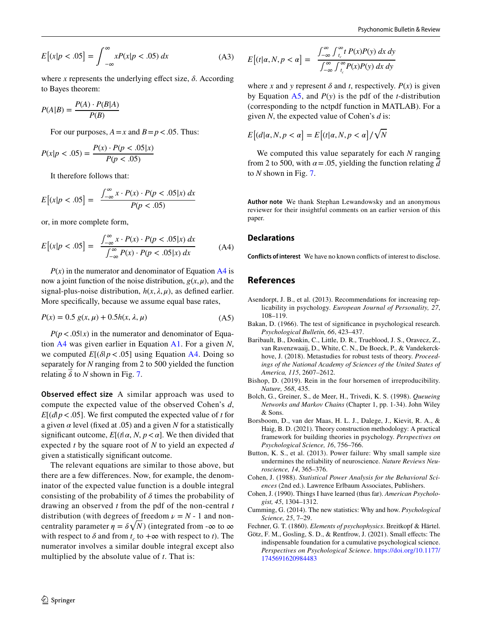$$
E[(x|p < .05)] = \int_{-\infty}^{\infty} xP(x|p < .05) dx
$$
 (A3)

where *x* represents the underlying effect size,  $\delta$ . According to Bayes theorem:

$$
P(A|B) = \frac{P(A) \cdot P(B|A)}{P(B)}
$$

For our purposes,  $A = x$  and  $B = p < .05$ . Thus:

$$
P(x|p < .05) = \frac{P(x) \cdot P(p < .05|x)}{P(p < .05)}
$$

It therefore follows that:

$$
E[(x|p < .05)] = \frac{\int_{-\infty}^{\infty} x \cdot P(x) \cdot P(p < .05|x) \, dx}{P(p < .05)}
$$

or, in more complete form,

$$
E[(x|p < .05)] = \frac{\int_{-\infty}^{\infty} x \cdot P(x) \cdot P(p < .05|x) dx}{\int_{-\infty}^{\infty} P(x) \cdot P(p < .05|x) dx}
$$
(A4)

 $P(x)$  in the numerator and denominator of Equation [A4](#page-23-12) is now a joint function of the noise distribution,  $g(x, \mu)$ , and the signal-plus-noise distribution,  $h(x, \lambda, \mu)$ , as defined earlier. More specifically, because we assume equal base rates,

$$
P(x) = 0.5 g(x, \mu) + 0.5h(x, \lambda, \mu)
$$
 (A5)

 $P(p < .05|x)$  in the numerator and denominator of Equation [A4](#page-23-12) was given earlier in Equation [A1.](#page-22-0) For a given *N*, we computed  $E[(\delta p < .05]$  using Equation [A4](#page-23-12). Doing so separately for *N* ranging from 2 to 500 yielded the function relating  $\delta$  to *N* shown in Fig. [7.](#page-14-0)

**Observed effect size** A similar approach was used to compute the expected value of the observed Cohen's *d*,  $E[(d|p<.05]$ . We first computed the expected value of *t* for a given *α* level (fixed at .05) and a given *N* for a statistically significant outcome,  $E[(t|\alpha, N, p < \alpha])$ . We then divided that expected *t* by the square root of *N* to yield an expected *d* given a statistically significant outcome.

The relevant equations are similar to those above, but there are a few differences. Now, for example, the denominator of the expected value function is a double integral consisting of the probability of *δ* times the probability of drawing an observed *t* from the pdf of the non-central *t* distribution (with degrees of freedom  $\nu = N - 1$  and noncentrality parameter  $\eta = \delta \sqrt{N}$ ) (integrated from - $\infty$  to  $\infty$ with respect to  $\delta$  and from  $t_c$  to  $+\infty$  with respect to *t*). The numerator involves a similar double integral except also multiplied by the absolute value of *t*. That is:

$$
E\left[(t|\alpha, N, p < \alpha\right] = \frac{\int_{-\infty}^{\infty} \int_{t_c}^{\infty} t \, P(x) P(y) \, dx \, dy}{\int_{-\infty}^{\infty} \int_{t_c}^{\infty} P(x) P(y) \, dx \, dy}
$$

where *x* and *y* represent  $\delta$  and *t*, respectively.  $P(x)$  is given by Equation  $\overline{A5}$ , and  $P(y)$  is the pdf of the *t*-distribution (corresponding to the nctpdf function in MATLAB). For a given *N*, the expected value of Cohen's *d* is:

$$
E[(d|\alpha, N, p < \alpha] = E[(t|\alpha, N, p < \alpha] / \sqrt{N}]
$$

We computed this value separately for each *N* ranging from 2 to 500, with  $\alpha = 0.05$ , yielding the function relating *d* to *N* shown in Fig. [7.](#page-14-0)

**Author note** We thank Stephan Lewandowsky and an anonymous reviewer for their insightful comments on an earlier version of this paper.

### <span id="page-23-12"></span>**Declarations**

**Conflicts of interest** We have no known conflicts of interest to disclose.

### **References**

- <span id="page-23-5"></span>Asendorpt, J. B., et al. (2013). Recommendations for increasing replicability in psychology. *European Journal of Personality, 27*, 108–119.
- <span id="page-23-13"></span><span id="page-23-9"></span>Bakan, D. (1966). The test of significance in psychological research. *Psychological Bulletin, 66*, 423–437.
- <span id="page-23-4"></span>Baribault, B., Donkin, C., Little, D. R., Trueblood, J. S., Oravecz, Z., van Ravenzwaaij, D., White, C. N., De Boeck, P., & Vandekerckhove, J. (2018). Metastudies for robust tests of theory. *Proceedings of the National Academy of Sciences of the United States of America, 115*, 2607–2612.
- <span id="page-23-6"></span>Bishop, D. (2019). Rein in the four horsemen of irreproducibility. *Nature, 568*, 435.
- <span id="page-23-11"></span>Bolch, G., Greiner, S., de Meer, H., Trivedi, K. S. (1998). *Queueing Networks and Markov Chains* (Chapter 1, pp. 1-34). John Wiley  $&$  Sons.
- <span id="page-23-2"></span>Borsboom, D., van der Maas, H. L. J., Dalege, J., Kievit, R. A., & Haig, B. D. (2021). Theory construction methodology: A practical framework for building theories in psychology. *Perspectives on Psychological Science, 16*, 756–766.
- <span id="page-23-0"></span>Button, K. S., et al. (2013). Power failure: Why small sample size undermines the reliability of neuroscience. *Nature Reviews Neuroscience, 14*, 365–376.
- <span id="page-23-8"></span>Cohen, J. (1988). *Statistical Power Analysis for the Behavioral Sciences* (2nd ed.). Lawrence Erlbaum Associates, Publishers.
- <span id="page-23-10"></span>Cohen, J. (1990). Things I have learned (thus far). *American Psychologist, 45*, 1304–1312.
- <span id="page-23-1"></span>Cumming, G. (2014). The new statistics: Why and how. *Psychological Science, 25*, 7–29.
- <span id="page-23-3"></span>Fechner, G. T. (1860). *Elements of psychophysics*. Breitkopf & Härtel.
- <span id="page-23-7"></span>Götz, F. M., Gosling, S. D., & Rentfrow, J. (2021). Small effects: The indispensable foundation for a cumulative psychological science. *Perspectives on Psychological Science*. [https:// doi. org/ 10. 1177/](https://doi.org/10.1177/1745691620984483) 1745691620984483